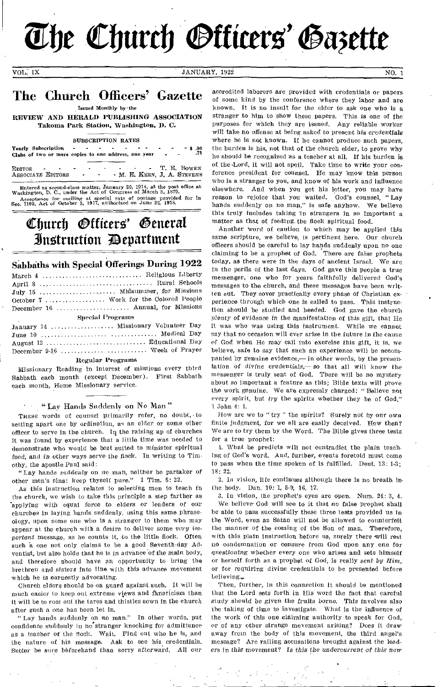The Church *Otticers' Gazette* 

VOL. IX MOLE DESCRIPTION OF THE VALUE OF THE VALUE OF THE VALUE OF THE VALUE OF THE VALUE OF THE VALUE OF THE VALUE OF THE VALUE OF THE VALUE OF THE VALUE OF THE VALUE OF THE VALUE OF THE VALUE OF THE VALUE OF THE VALUE OF

The Church Officers' Gazette

Issued Monthly by•the

REVIEW AND HERALD PUBLISHING ASSOCIATION Takoma Park Station, Washington, D. C.

#### SUBSCRIPTION RATES

Yearly Subscription Clubs of two or more copies to one address, one year T. E. BOWEN

ASSOCIATE EDITORS • M. E. KERN, J. A. STEVENS **EDITOR** 

Entered as second-class matter, January 20, 1914, at the post office at Washington, D. C., under the Act of Congress of March 8, 1819. Acceptance for mailing at special rate of postage provided for in *See.* 1108, Act of October 3, 1911, authorized on June 22, 1918.

# Church *Otticers*' General Instruction *Department*

## Sabbaths with Special Offerings During 1922

| March 4  Religious Liberty                                                                                      |
|-----------------------------------------------------------------------------------------------------------------|
|                                                                                                                 |
|                                                                                                                 |
| October 7  Work for the Colored People                                                                          |
| December 16  Annual, for Missions                                                                               |
| the contract of the contract of the contract of the contract of the contract of the contract of the contract of |

## Special Programs

January 14 .................... Missionary Volunteer Day June 10 Medical Day August 12 Educational Day December 9-16 ................................ Week of Prayer

## Regular Programs

Missionary Reading in interest of missions every third Sabbath each month (except December). First Sabbath each month, Home Missionary service.

## " Lay Hands Suddenly on No Man "

THESE words of counsel primarily refer, no doubt, to setting apart one by ordination, as an elder or some other officer to serve in the church. In the raising up of churches it was found by experience that a little time was needed to demonstrate who would be best suited to minister spiritual food, and in other ways serve the flock. In writing to Timothy, the apostle Paul said:

"Lay hands suddenly on no man, neither be partaker of other men's sins: keep thyself pure." 1 Tim. 5: 22.

As this instruction relates to selecting men to teach in the church, we wish to take this principle a step farther as 'applying with equal force to elders or leaders of our churches in laying hands suddenly, using this same phraseology, upon some one who is a stranger to them who may appear at the church with a desire to deliver some *very important* message, as he counts it, to the little flock. Often such a one not only claims to be a good Seventh-day Adventist, but also holds that he is in advance of the main body, and therefore should have an opportunity to bring the brethren and sisters into line with this advance movement which he is earnestly advocating.

Church elders should be on guard against such. It will be much easier to keep out extreme views and fanaticism than it will be to root out the tares and thistles sown in the church after such a one has been let in.

" Lay hands suddenly on *no* man." In other words, put confidence suddenly in no stranger knocking for admittance as a teacher of the flock. Wait. Find out who he is, and the nature of 'his message. Ask to see his credentials. Better be sure beforehand than sorry *afterward.* All *our* 

accredited laborers are provided with credentials or papers of some kind by the conference where they labor and are known. It is no insult for the elder to ask one who is a stranger to him to show these papers. This is one of the purposes for which they are issued. Any reliable worker will take no offense at being asked to present his credentials where he is not known. If he cannot produce such papers, the burden is his, not that of the church elder, to prove why he should be recognized as a teacher at all. If his burden is of the-Lord, it will not spoil. Take time to write your conference president for counsel. He may know this person who is a stranger to you, and know of his work and influence elsewhere. And when you get his letter, you may have reason to rejoice that you waited. God's counsel, "Lay hands suddenly on no man," is safe anyhow. We believe this truly includes taking in strangers in so important a matter as that of feeding:the flock spiritual food.

Another word of caution to which may be applied this same scripture, we believe, is pertinent here. Our church officers should be careful to lay hands suddenly upon no one claiming to be a prophet of God. There are false prophets today, as there were in the days of ancient Israel. We are in the perils of the last days. God gave this people a true messenger, one who for years faithfully delivered God's messages to the church, and these messages have been written out. They cover practically every phase of Christian experience through which one is called to pass. This instruction should be studied and heeded. God gave the church plenty *of* evidence in the manifestation of this gift, that He it was who was using this instrument. While we cannot say that no occasion will ever arise in the future in the cause of God when He may call into exercise this gift, it is, we believe, safe to say that such an experience will be accompanied by genuine evidence,— in other words, by the presentation of divine credentials,— so that all *will know* the messenger is truly sent of God. There will be no mystery about so important a feature as this; Bible texts will prove the work genuine. We are expressly charged: "Believe not every spirit, but *try* the spirits whether they be of God." 1 John 4: 1.

How arc we to " try " the spirits? Surely not by our own finite judgment, for we all are easily deceived. How then? We are to try them by the Word. The Bible gives three tests for a true prophet:

1. What he predicts will not contradict the plain teaching of God's word. And, further, events foretold must come to pass when the time spoken of is fulfilled. Deut. 13: 1-3; 18: 22.

2. In vision, life continues although there is no breath in the body. Dan. 10: 1, 5-9, 16, 17.

3. In vision, the prophet's eyes are open. Num. 24: 3, 4. We believe- God will see to it that no false prophet shall be able to pass successfully these three tests provided us in the Word, even as Satan will not be allowed to counterfeit the manner of the coming of the Son of man. Therefore, with this plain instruction before us, surely there will rest no condemnation or censure from God upon any one for questioning whether every one who arises and sets himself or herself forth as a prophet of God, is really *sent by Him,*  or for requiring divine credentials to be presented before believing.-

Then, further, in this connection it should be mentioned that the Lord sets forth in His word the fact that careful study should be *given* the *fruits* borne. This involves also the taking of time to investigate. What is the influence of the work of this one claiming authority to speak for God, or of any other strange movement arising? Does it draw away from the body of this movement, the third angel's message? Are railing accusations brought against the leaders in this movement? *Is this the undercurrent of this new*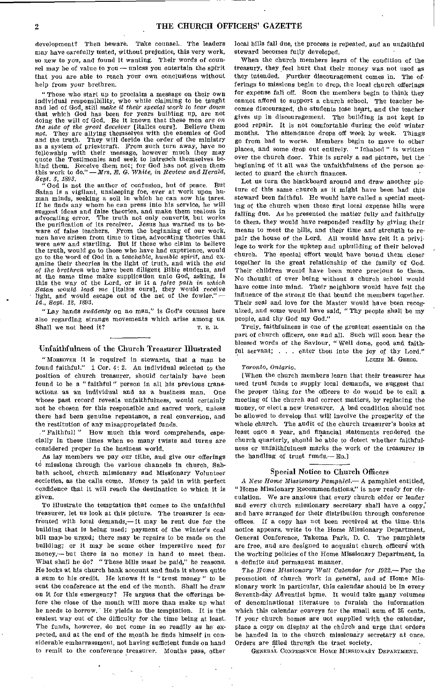development? Then beware. Take counsel. The leaders may have carefully tested, without prejudice, this very work, so new to you, and found it wanting. Their words of counsel may be of value to you — unless you entertain the spirit that you are able to reach your own conclusions without help from your brethren.

" Those who start up to proclaim a message on their own Individual responsibility, who while claiming to be taught and led of God, still *make it their special work to tear down*  that which God has been for years building up, are not doing the will of God. Be it known that these men *are on the side of the great deceiver* [italics ours]. Believe them *not.* They are allying themselves with the enemies of God and the truth. They will deride the order of the ministry as a system of priestcraft. From such turn away, have no as a system of priestcraft. From such turn away, fellowship with their message, however much they may quote the Testimonies and seek to intrench themselves be-hind them. Receive them not; for God has not given them this work to do." *—Mrs. E. G. White, in Review and Herald, Sept. 5, 1893.* 

"God is not the author of confusion, but of peace. But Satan is a vigilant, unsleeping foe, ever at work upon human minds, seeking a soil in which he can sow his tares. If he finds any whom he can press into his service, he will suggest ideas and false theories, and make them zealous in advocating error. The truth not only converts, but works the purification of its receiver. Jesus has warned us to beware of false teachers. From the beginning of our work, men have arisen from time to time, advocating theories that were new and startling. But if those who claim to believe the truth, would go to those who have had experience, would go to the word of God in a teachable, humble spirit, and examine their theories in the light of truth, and with the *aid of the brethren* who have been diligent Bible students, and at the same time make supplication unto God, asking, Is this the way of the Lord, or is it a *false path in which Satan would lead* me [italics ours], they would receive light, and would escape out of the net of the fowler." *Id.,* Sept. 12, 1893.

"Lay hands *suddenly* on no man," is God's counsel here also regarding strange movements which arise among us.<br>Shall we not heed it?  $T$ , E, B. Shall we not heed it?

## Unfaithfulness of the Church Treasurer Illustrated

"MOREOVER it is required in stewards, that a man be found faithful." 1 Cor. 4: 2. An individual selected to the position of church treasurer, should certainly have been found to be a "faithful" person in all his previous transactions as an individual and as a business man. One whose past record reveals unfaithfulness, would certainly not be chosen for this responsible and sacred work, unless there had been genuine repentance, a real conversion, and the restitution of any misappropriated funds.

"Faithful! " How much this word comprehends, especially in these times when so many twists and turns are considered proper in the business world.

As lay members we pay our tithe, and give our offerings to missions through the various channels in church, Sabbath school, church missionary and Missionary Volunteer societies, as the calls come. Money is paid in with perfect confidence that it will reach the destination to which it is given.

To illustrate the temptation that comes to the unfaithful treasurer, let us look at this picture. The treasurer is confionted with local demands,— it may be rent due for the building that is being used; payment of the winter's coal bill may-be urged; there may be repairs to be made on the building; or it may be some other imperative need for money,—but there is no money in hand to meet them. What shall he do? "These bills *must* be paid," he reasons. He looks at his church bank account and finds it shows quite a sum to his credit. He knows it is "trust money" to be sent the conference at the end of the month. Shall he draw on it for this emergency? He argues that the offerings before the close of the month will more than make up what he needs to borrow. " He yields to the temptation. It is the easiest way out of the difficulty for the time being at least. The funds, however, do not come in so readily as he expected, and at the end of the month he finds himself in considerable embarrassment, not having sufficient funds on hand to remit to the conference treasurer. Months pass, other

local bills fall due, the process is repeated, and an unfaithful steward becomes fully developed.

When the church members learn of the condition of the treasury, they feel hurt that their money was not used as they intended. Further discouragement comes in. The offerings to missions begin to drop, the local church offerings for expense fall off. Soon the members begin to think they cannot afford to support a church school. The teacher becomes discouraged, the students lose heart, and the teacher gives up in discouragement. The building is not kept in good repair. It is not comfortable during the cold winter months. The attendance drops off week by week. Things go from bad to worse. Members begin to move to other places, and some drop out entirely. " Ichabod " is written over the church door. This is surely a sad picture, but the beginning of it all was the unfaithfulness of the person selected to guard the church finances.

Let us turn the blackboard around and draw another picture of this same church as it might have been had this steward been faithful. He would have called a special meeting of the church when these first local expense bills were falling due. As he presented the matter fully and faithfully to them, they would have responded readily by giving their means to meet the bills, and their time and strength to repair the house of the Lord. All would have felt it a privilege to work for the upkeep and upbuilding of their beloved church. The special effort would have bound them closer together in the great relationship of the family of God. Their children would have been more precious to them. No thought of ever being without a church school would have come into mind. Their neighbors would have felt the influence of the strong tie that bound the members together. Their zeal and love for the Master would have been recognized, and some would have said, "Thy people shall be my people, and thy God my God."

Truly, faithfulness is one of the greatest essentials on the part of church officers, one and all. Such will soon hear the blessed words of the Saviour, "'Well done, good and faithful servant; . . . enter thou into the joy of thy Lord." LIZZIE M. GREGO.

#### *Toronto, Ontario.*

[When the church members learn that their treasurer has used trust funds to supply local demands, we suggest that the proper thing for the officers to do would be to call a meeting of the church and correct matters, by replacing the money, or elect a new treasurer. A bad condition should not be allowed to develop that will involve the prosperity of the whole church. The audit of the church treasurer's books at least once a year, and financial statements rendered the church quarterly, should be able to detect whether faithfulness or unfaithfulness marks the work of the treasurer in the handling of trust funds.— Bo.]

#### Special Notice to Church Officers

A *New Home Missionary Pamphlet.—* A pamphlet entitled, "Home Missionary Recommendations," is now ready for circulation. We are anxious that every church elder or leader and every church missionary secretary shall have a copy,' and have arranged for their distribution through conference offices. If a copy has not been received at the time this notice appears, write to the Home Missionary Department, General Conference, Takoma Park, D. C. The pamphlets are free, and are designed to acquaint church officers with the working policies of the Home Missionary Department, in a definite and permanent manner.

*The Home Missionary Wall Calendar for 1922.*— For the promotion Of church work in general, and of Home Missionary work in particular, this calendar should be in every Seventh-day Adventist home. It would take many volumes of denominational literature to furnish the information which this calendar conveys for the small sum of 25 cents. If your church homes are not supplied with the calendar, place a copy on display at the church and urge that orders be handed in to the church missionary secretary at once. Orders are filled through the tract society.

GENERAL CONFERENCE HOME MISSIONARY DEPARTMENT.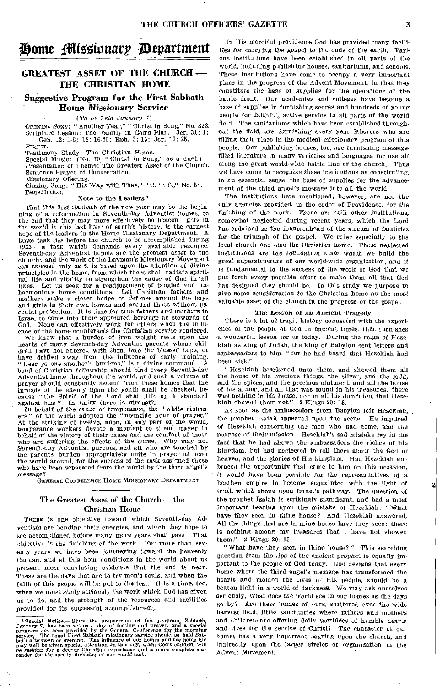# Home Missionary Department

## GREATEST ASSET OF THE CHURCH — THE CHRISTIAN HOME

## Suggestive Program for the First Sabbath Home *Missionary Service*

*(To be held January 7)* 

*OPENING SONG: "* Another Year," "Christ in Song," No. 822. Scripture Lesson: The Family in God's Plan. Jer. 31: 1; Gen. 12: 1-6; 18: 16-20; Eph. 3: 15; Jer. 10: 25.

Prayer.

Testimony Study: The Christian Home.

Special Music: (No. 70, " Christ in Song," as a duet.) Presentation of Theme: The Greatest Asset of the Church. Sentence Prayer of Consecration.

Missionary Offering.

Closing Song: "His Way with Thee," "C. in S.," No. 58. Benediction.

#### Note to the Leaders<sup>1</sup>

That this first Sabbath of the new year may be the beginning of a reformation in Seventh-day Adventist homes, to the end that they may more effectively be beacon lights in the world in this last hour of earth's history, is the earnest hope of the leaders in the Home Missionary Department. A large task lies before the church to be accomplished during 1922 —a task which demands every available resource, Seventh-day Adventist homes are the greatest asset to the church; and the work of the Layman's Missionary Movement can succeed only as it is based upon the adoption of divine principles in the home, from which there shall radiate spiritual life and vitality to strengthen the cause of God in all lines. Let us seek for a readjustment of tangled and unharmonious home conditions. Let Christian fathers and mothers make a closer hedge of defense around the boys and girls in their own homes and around those without parental protection. It is time for true fathers and mothers in Israel to come into their appointed heritage as stewards of God. None can effectively work for others when the influ-ence of the home counteracts the *Christian* service rendered.

We know that a burden of iron weight rests upon the hearts of many Seventh-day Adventist parents whose children have not entered with them *into* the blessed hope, or have drifted away from the influence of early training. " Bear ye one another's burdens," is a divine command. A bond of Christian fellowship should bind every Seventh-day Adventist home throughout the world, and such a volume of prayer should constantly ascend from these homes that the inroads of the enemy upon the youth shall be checked, be-cause "the Spirit of the Lord shall lift up a standard against him." In unity there is strength.

In behalf of the cause of temperance, the "white ribbon-<br>ers" of the world adopted the "noontide hour of prayer." At the striking of twelve, noon, in any part of the world, temperance workers devote a moment to silent prayer in behalf of the victory of their cause and the comfort of those who are suffering the effects of the curse. Why may not Seventh-day Adventist parents, and all who are touched by the parents' burden, appropriately unite in prayer at noon the world around, for the success of the task assigned those who have been separated from the world by the third angel's message?

GENERAL CONFERENCE HOME MISSIONARY DEPARTMENT.

## The Greatest Asset of the Church—the Christian Home

THERE is one objective toward which Seventh-day Adventists are bending their energies, and which they hope to see accomplished before many more years shall pass. That objective is the finishing of the work. For more than seventy years we have been *journeying* toward the heavenly Canaan, and at this hour conditions in the world about us present most convincing evidence that the end is near. These are the days that are to try men's souls, and when the faith of this people will be put to the test. It is a time, too, when we must study *seriously* the work which God has given us to do, and the strength of the resources and facilities provided for its successful accomplishment.

<sup>1</sup> Special Notice.— Since the preparation of this program, Sabbath, January 7, has been set as a day of fasting and prayer, and a special program has been provided by the General Conference for the morning service. The u

In His merciful providence God has provided many facilities for carrying the gospel to the ends of the earth. Various institutions have been established in all parts of the world, including publishing houses, sanitariums, and schools. These institutions have come to occupy a very important place in the progress of the Advent Movement, in that they *constitute* the base *of* supplies for the operations at the battle front. Our academies and colleges have become a base of supplies in furnishing scores and hundreds of young people for faithful, active service in all parts of the world field. The sanitariums which have been established throughout the field, are *furnishing* every year laborers who are filling their place in the medical missionary program of this people. Our publishing houses, too, are furnishing messagefilled literature in many varieties and languages for use all along the great world-wide battle line of the church, Thus we have come to recognize these institutions as constituting, in an essential sense, the base of supplies for the advancement of the third angel's message into all the world.

The institutions here mentioned, however, are not the only agencies provided, in the order of Providence, for the finishing of the work. There are still other institutions, somewhat neglected during recent years, which the Lord has ordained as the fountainhead of the stream of facilities for the triumph of the gospel. We refer especially to the local church and also the Christian home. These neglected institutions are the *foundation* upon which we build the great superstructure of our world-wide organization, and it is fundamental to the success of the work of God that we put forth every possible effort to make them all that God has designed they should be. In this study we purpose to give some consideration *to* the Christian home as the most valuable asset of the church in the progress of the gospel.

### The Lesson *of* an Ancient Tragedy

There is a bit of tragic history connected with the experience of the people of God in ancient times, that furnishes ,a wonderful lesson for us today. During the reign of Hezekiah as king of Judah, the king of Babylon sent letters and ambassadors to *him, "for* he had heard that Hezekiah had been sick."

" Hezekiah hearkened unto them, and showed them all the house of his precious things, the silver, and the gold, and the spices, and the precious ointment, and *all* the house of his armor, and all that was found in his treasures: there was nothing in his house, nor in all his dominion, that Heze-kiah showed them not." 2 Kings 20: 13.

As soon as the ambassadors from Babylon left Hezekiah, the prophet Isaiah appeared upon the scene. He inquired of Hezekiah concerning the men who had come, and the Purpose of their *mission.* Hezekiah's sad mistake lay in the fact that he had shown the ambassadors the riches of his kingdom, but had neglected to tell them about the God of heaven, and the glories of His kingdom. Had Hezekiah embraced the opportunity that came to him on this occasion, it would have been possible *for* the representatives of a heathen empire to become acquainted with the light of truth which shone upon Israel's pathway. The question of the prophet Isaiah is strikingly significant, and had a most important bearing upon the mistake of Hezekiah: " What have they seen In thine house? And Hezekiah answered, All the things that are in mine house have they seen: there is nothing among my treasures that I have not showed them." 2 Kings 20: 15.

" What have they seen in thine house?" This searching question from the lips of the *ancient* prophet is equally important to the people of God today. God designs that every home where the third angel's message has transformed the hearts and molded the lives of His people, should be a beacon light in a world of darkness. We may ask ourselves seriously, What does the world *see in* our homes as the days go by? Are these homes of ours, scattered over the wide harvest field, little sanctuaries where fathers and mothers and children are offering daily sacrifices of humble hearts and lives for the service of Christ? The character of our homes has a very important bearing upon the church, and indirectly upon the larger circles of organization in the Advent Movement.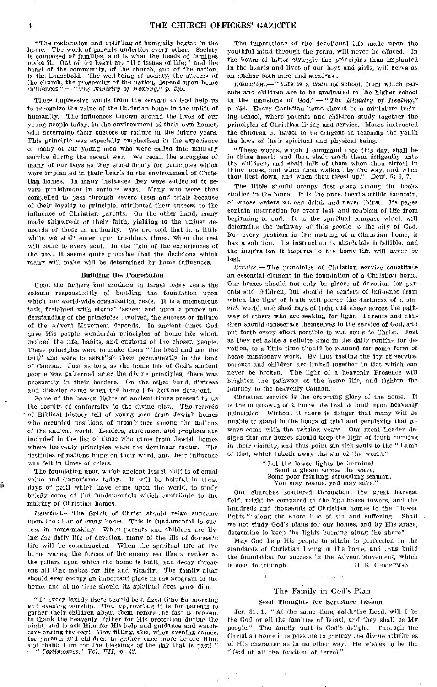The restoration and uplifting of humanity begins in the home. The work of parents underlies every other. Society is composed of families, and is what the heads of families make it. Out of the heart are ' the issues of life; ' and the heart of the community, of the church, and of the nation, is the household. The well-being of society, the success of the church, the prosperity of the nation, depend upon home influences."—" *The Ministry of Healing," p. 849.* 

These impressive words from the servant of God help us to recognize the value of the Christian home in the uplift of humanity. The influences thrown around the lives of our young people today, in the environment of their own homes, will determine their success or failure in the future years. This principle was especially emphasized in the experience of many of our young men who were-called into military service during the recent war. We recall the struggles of many of our boys as they stood firmly for principles which were implanted in their hearts in the environment of Christian homes. In many instances they were subjected to severe punishment in various ways. Many who were thus compelled to pass through severe tests and trials because of their loyalty to principle, attributed their success to the influence of Christian parents. On the other hand, many made shipwreck of their faith, yielding to the unjust demands of those in authority. We are told that in a little while we shall enter upon troublous times, when the test will come to every soul. In the light of the experiences of the past, it seems quite probable that the decisions which many will make will be determined by home influences.

#### Building the Foundation

Upon the fathers and mothers in Israel today rests the solemn responsibility of building the foundation upon which our world-wide organization rests. It is a momentous task, freighted with eternal issues; and upon a proper understanding of the principles involved, the success or failure of the Advent Movement depends. In ancient times God gave His people wonderful principles of home life which. molded the life, habits, and customs of the chosen people. These principles were to make them "the head and not the tail," and were to establish them permanently in the land of Canaan. Just as long as the home life of God's ancient People was patterned after the divine principles, there was prosperity in their borders. On the other hand, distress and disaster came when the home life became decadent.

Some of the beacon lights of ancient times present to us the results of conformity to the divine plan. The records ' of Biblical history tell of young men from Jewish homes who occupied positions of prominence among the nations of the ancient world. Leaders, statesmen, and prophets are included in the list of those who came from Jewish homes where heavenly principles were the dominant factor. The destinies of nations hung on their word, and their influence was felt in times of crisis.

The foundation upon which ancient Israel built is of equal value and importance today. It will be helpful in these days of peril' which have come upon the world, to study briefly some of the fundamentals which contribute to the making of Christian homes.

*Devotion.—* The Spirit of Christ should reign supreme upon the altar of every home. This is fundamental to success in home-making. When parents and children are living the daily life of devotion, many of the ills of domestic life will be counteracted. When the spiritual life of the home wanes, the forces of the enemy eat like a canker at the pillars upon which the home is built, and decay threatens all that makes for life and vitality. The family altar should ever occupy an important place in the program of the home, and at no time should its spiritual fires grow dim.

"In every family there should be a fixed time for morning and evening worship. How appropriate it is for parents to gather their children about them before the fast is broken, to thank the heavenly Father for His protection during the right, and to ask Him for His help and guidance and watch-How fitting, also, when evening comes, for parents and children to gather once more before Him, and thank Him for the blessings of the day that is past! " *—"Testimonies," Vol. VII, p. 43.* 

The impressions of the devotional life made upon the youthful mind through the years, will never be effaced. In the hours of bitter struggle the principles thus implanted in the hearts and lives of our boys and girls, will serve as an anchor both sure and steadfast.

Education.—"Life is a training school, from which parents and children are to be graduated to the higher school in the mansions of God."—" *The Ministry of Healing," M 348.* Every Christian home should be a miniature training school, where parents and children study together the principles of Christian living and service. Moses instructed the children of Israel to be diligent in teaching the youth the laws of their spiritual and physical being.

"These words, which I command thee this day, shall be in thine heart: and thou shalt teach them diligently unto thy children, and shalt talk of them when thou sittest in thine house, and when thou walkest by the way, and when<br>thou liest down, and when thou risest up." Deut. 6: 6.7. thou liest down, and when thou risest up."

The Bible should occupy first place among the books studied in the home. It is the pure, inexhaustible fountain, of whose waters we can drink and never thirst. Its pages contain instruction for every task and problem of life from beginning to end. It is the spiritual compass which will determine the pathway of this people to the city of God. For every problem in the making of a Christian home, it has a solution. Its instruction is absolutely infallible, and the inspiration it imparts to the home life will never be lost.

*Service.—* The principles- of Christian service constitute an essential element in the foundation of a Christian home. Our homes should not only be places of devotion for parents and children, but should be centers of influence from which the light of truth will pierce the darkness of a sinsick world, and shed rays of light and cheer across the pathway of others who are seeking for light. Parents and children should consecrate themselves to the service of God, and put forth every effort possible to win souls to Christ. Just as they set aside a definite time in the daily routine for devotion, so a little time should be planned for some form of home missionary work. By thus tasting the joy of service, parents and children are linked together in ties which can never be broken. The light of a heavenly Presence will brighten the pathway of the home life, and lighten the journey to the heavenly Canaan.

Christian service is the crowning glory of the home. It is the outgrowth of a home life that is built upon heavenly principles. Without it there is danger that many will be unable to stand in the hours of trial and perplexity that always come with the passing years. Our great Leader designs that our homes should keep the light of truth burning in their vicinity, and thus point sin-sick souls to the "Lamb of God, which taketh away the sin of the world."

> "Let the lower lights be burning! Send a gleam across the wave, Some poor fainting, struggling seaman, You may rescue, you may save.'

Our churches scattered throughout the great harvest field, might be compared to the lighthouse towers, and the hundreds and thousands of Christian homes to the "lower lights "' along the shore line of sin and suffering. Shall we not study God's plans for our homes, and by His grace, determine to keep the lights burning along the shore?

May God help His people to attain to perfection in the standards of Christian living in the home, and thus build the foundation for success in the Advent Movement, which is soon to triumph. H. K. CHRISTMAN.

# The Family in God's Plan

#### Seed Thoughts for Scripture Lesson

Jer. 31: 1: "At the same time, saith•the Lord, will I be the God of all the families of Israel, and they shall be My people." The family unit is God's delight. Through the Christian home it is possible to portray the divine attributes of His character as in no other way. He wishes to be the "God of all the families of Israel,"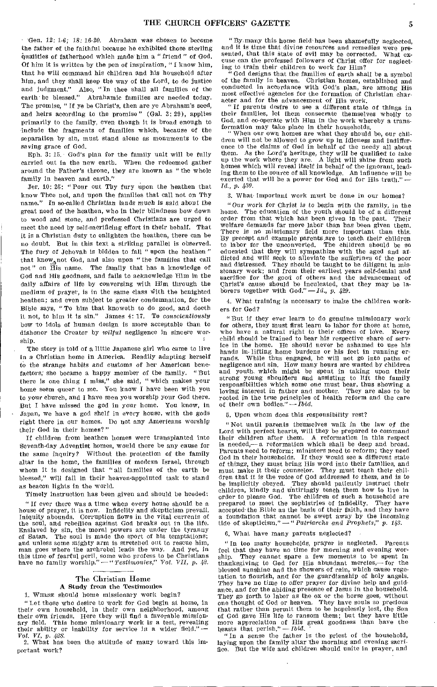Gen. 12: 1-6; 18: 16-20. Abraham was chosen to become the father of the faithful because he exhibited those sterling finalities of fatherhood which made him a " friend " of God. Of him it is written by the pen of inspiration, " I know him, that he will command his children and his household after him, and they shall keep the way of the Lord, to do justice and judgment." Also, " In thee shall all families of the earth be blessed." Abrahamic families are needed today. The promise, " If ye be Christ's, then are ye Abraham's seed, and heirs according to the promise" (Gal. 3: 29), applies primarily to the family, even though it is broad enough to -include the fragments of families which, because of the separation by sin, must stand alone as monuments to the saving grace of God.

Eph. 3: 15. God's plan for the family unit will be fully carried out in the new earth. When the redeemed gather around the Father's throne, they are known as "the whole family in heaven and earth."

Jer. 10: 25: " Pour out Thy fury upon the heathen that know Thee not, and upon the families that call not on Thy name." In so-called Christian lands much is said about the great need Of the heathen, who in their blindness bow down to wood and stone, and professed Christians are urged to meet the need by self-sacrificing effort in their behalf. That it is a Christian duty to enlighten the heathen, there can be no doubt. But in this text a striking parallel is observed. The fury of Jehovah is bidden to fall " upon the heathen" that know<sub>4</sub>not God, and also upon "the families that call not" on His name. The family that has a knowledge of God and His goodness, and fails to acknowledge Him in the daily affairs of life by conversing with Him through the medium of prayer, is in the same class With the benighted heathen; and even subject to greater condemnation, for the Bible says, "To him that knoweth to do good, and doeth it not, to him it is sin." James 4: 17. To *conscientiously*  bow to idols of human design is more acceptable than to dishonor the Creator by *wilful* negligence in sincere worship.

The story is told of a little Japanese girl who came to live in a Christian home in America. Readily adapting herself to the strange habits and *customs of* her American benefactors, she became a happy member of the family. " But there is one thing I miss," she said, " which makes your home seem queer to me. You know I have been with you to your church, and I have seen you worship your God there. But I have missed the god in your home. You know, in Japan, we have a god shelf in every house, with the gods right there in our homes. Do not any Americans worship their God in their homes?"

If children from heathen homes were transplanted into Seventh-day Adventist homes, would there be any cause for the same inquiry? Without the- protection of the family altar in the home, the families of modern Israel, through whom it is designed that " all families of the earth be blessed," will fail in their heaven-appointed task to stand as beacon lights in the world.

Timely instruction has been given and should be heeded:

"If ever there was a time when every house should be a house of prayer, it is now. Infidelity and skepticism prevail. Iniquity abounds. Corruption flows in the vital currents of the soul, and rebellion against God breaks out in the life. Enslaved by sin, the moral powers are under the tyranny of Satan. The soul is made the sport of his temptations; and unless some mighty arm is stretched out to rescue him, man goes where the archrebel leads the way. And yet, in this time of fearful peril, some who profess to be Christians have no family worship." *—"Testimonies," Vol. VII, p.* 42.

#### The Christian Home A Study from the Testimonies

## 1. WHERE should home missionary work begin?

"Let those who desire to work for God begin at home, in their own household, in their own neighborhood, among their own friends. Here they will find a favorable missionary field. This home missionary work is a test, revealing their ability or inability for service in a wider field." —

Vol. *VI, p. 428.*  2. What has been the attitude of many toward this important work?

"By,many this home field-has been shamefully neglected, and it is time that divine resources and remedies were presented, that this state of evil may be corrected. What excuse can the professed followers of Christ offer for neglecting to train their children to work for Him?

God designs that the families of earth shall be a symbol of the family in heaven. Christian homes, established and conducted in accordance with God's plan, are among His most effective agencies for the formation of Christian character and for the advancement of His work.

" If parents desire to see a different state of things in their families, let them consecrate themselves wholly to God, and co-operate with Him in the work whereby a transformation may take place in their households.

When our own homes are what they should be, our children will not be allowed to grow up in idleness and indifference to the claims of God in behalf of the needy all about them. As the Lord's heritage, they will be qualified to take up the work where they are. A light will shine from such homes which will reveal itself in behalf of the ignorant, leading them to the source of all knowledge. An influence will be exerted that will be a power for God and for His truth."— *Id., p. 430.* 

3. What important work must be done in our homes?

"Our work *for Christ is* to begin with the family, in the The education of the youth should be of a different<br>rom that which has been given in the past. Their order from that which has been given in the past. welfare demands far more labor than has been given them. There is no missionary field more important than this. By precept and example parents are to teach their children to labor for the unconverted. The children should be so educated that they will sympathize with the aged and afflicted and will seek to alleviate the sufferines of the poor and distressed. They should be taught to be diligent in missionary work; and from their earliest years self-denial and sacrifice for the good of others and the advancement of Christ's cause should be inculcated, that they may be lahorers together with God."—Id., *p. 429.* 

4. What training is necessary to make the children workers for God?

" But if they ever learn to do genuine missionary work for others, they must first learn to labor for those at home, who have a natural right to their offices of love. Every who have a natural right to their offices of love. child should be trained to bear his respective share of service in the home. He should never be ashamed to use his hands in- lifting home burdens or his feet in running errands. While thus engaged, he will not go into paths of negligence and sin. How many hours are wasted by children and youth, which might be spent in taking upon their strong young shoulders and assisting to lift the family responsibilities which some one must bear, thus showing a loving interest in father and mother. They are also to be rooted in the true principles of health reform and the care of their own bodies." —  $\tilde{I}bid.$ 

5. Upon whom does this responsibility rest?

"Not until parents themselves walk in the law of the Lord with perfect hearts, will they be prepared to command their children after them. A reformation in this respect is needed,— a reformation which shall be deep and broad. Parents need to reform; ministers need to reform; they need God in their households. If they would see a different state of things, they must bring His word into their families, and must make it their counselor. They must teach their children that it *is* the voice of God addressed to them, and is to be implicitly obeyed. They should patiently instruct their children, kindly and Untiringly teach them how to live in order to please God. The children of such a household are prepared to meet the sophistries of infidelity. They have accepted-the Bible as the basis of their faith, and they have a foundation that cannot be swept away by the incoming tide of skepticism.' *—"Patriarchs* and *Prophets," p. 143.* 

#### 6. What have many parents neglected?

" In too many households, prayer is neglected. Parents feel that they have no time for morning and evening wor-<br>ship. They cannot spare a few moments to be spent in They cannot spare a few moments to be spent in thanksgiving to God for His abundant mercies,— for the blessed sunshine and the showers of rain, which cause vegetation to flourish, and for the guardianship of holy angels. They have no time to offer prayer for divine help and guidance, and for the abiding presence of Jesus in the household. They go forth to labor as the ox or the horse goes, without one thought of God or heaven. They have souls so precious that rather than permit them to be hopelessly lost, the Son of God gave His life to ransom them; but they have little more appreciation of His great goodness than have the beasts that perish." $- I b i d$ .

*"* In a sense the father is the priest of the household, laying upon the family altar the morning and evening sacrifice. But the wife and children should unite in prayer, and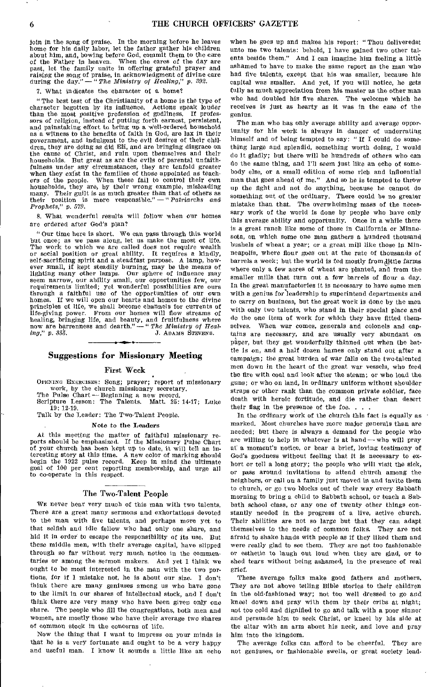join in the song of praise. In the morning before he leaves home for his daily labor, let the father gather his children about him, and, bowing before God, commit them to the care of the Father in heaven. When the cares of the day are past, let the family unite in offering grateful prayer and raising the song of praise, in acknowledgment of divine care during the day." — " *The Ministry of Healing," p.* 392.

#### 7. What indicates the character of a home?

"The best test of the Christianity of a home is the type of character begotten by its influence. Actions speak louder than the most positive profession of godliness. If professors of religion, instead of putting forth earnest, persistent, and painstaking effort to bring up a well-ordered household as a witness to the benefits of faith in God, are lax in their government, and indulgent to the evil desires of their children, they are doing as did Eli, and are bringing disgrace on the cause of Christ, and ruin upon themselves and their households. But great as are the evils of parental unfaith-But great as are the evils of parental unfaithfulness under any circumstances, they are tenfold greater when they exist in the families of those appointed as teachers of the people. When these fail to control their own households, they are, by their wrong example, misleading many. Their guilt is as much greater than that of others as their position is more responsible." —"Patriarchs *and Prophets," p. 579.* 

8. What wonderful results will follow when our homes are ordered after God's plan?

" Our time here is short. We can pass through this world but once; as we pass along, let us make the most of life. The work to which we are called does not require wealth or social position or great ability. It requires a kindly, or social position or great ability. self-sacrificing spirit and a steadfast purpose. A lamp, how-ever small, if kept steadily burning, may be the means of lighting many other lamps. Our sphere of influence may seem narrow, our ability small, our opportunities few, our requirements limited; yet wonderful possibilities are ours through a faithful use of the opportunities of our own homes. If we will open our hearts and homes to the divine principles of life, we shall become channels for currents of life-giving power. From our homes will flow streams of healing, bringing life, and beauty, and fruitfulness where now are barrenness and dearth." —" *The Ministry of Healing," p. 355.* **J. ADAMS STEVENS.** 

## Suggestions for Missionary Meeting

## First Week

OPENING EXERCISES: Song; prayer; report of missionary work, by the church missionary secretary.

The Pulse Chart —Beginning a new record. Scripture Lesson: The Talents. Matt. 25: 14-17; Luke 19: 12-19.

Talk by the Leader: The Two-Talent People.

#### Note to the Leaders

At this meeting the matter of faithful missionary reports should be emphasized. If the Missionary Pulse Chart of your church has been kept up to date, it will tell an interesting story at this time. A new color of marking should begin the 1922 pulse record. Keep in mind the ultimate goal of 100 per cent reporting membership, and urge all to co-operate in this respect.

#### The Two-Talent People

WE never hear very much of this man with two talents. There are a great many sermons and exhortations devoted to the man with five talents, and perhaps more yet to that selfish and idle fellow who had only one share, and hid it in order to escape the responsibility of its use. But these middle men, with their average capital, have slipped through so far without very much notice in the commentaries or among the sermon makers. And yet I think we ought to be most interested in the man with the two portions, for if I mistake not, he is about our size. I don't think there are many geniuses among us who have gone to the limit in our shares of intellectual stock, and I don't think there are very many who have been given only one share. The people who fill the congregations, both men and women, are mostly those who have their average two shares of common stock in the concerns of life.

Now the thing that I want to impress on your minds is that he is a very fortunate and ought to be a very happy and useful man. I know it sounds a little like an echo when he goes up and makes his report: "Thou deliveredst unto me two talents: behold, I have gained two other talents beside them." And I can imagine him feeling a little ashamed to have to make the same report as the man who had five talents, except that his was smaller, because his capital was smaller. And yet, if you will notice, he gets fully as much appreciation from his master as the other man who had doubled his five shares. The welcome which he receives is just as hearty as it was in the case of the genius.

The man who has only average ability and average opportunity for his work is always in danger of underrating himself and of being tempted to say: "If I could do something large and splendid, something worth doing, I would do it gladly; but there will be hundreds of others who can do the same thing, and I'll seem just like an echo of somebody else, or a small edition of some rich and influential man that goes ahead of me." And so he is tempted to throw up the fight and not do anything, because he cannot do something out of the ordinary. There could be no greater mistake than that. The overwhelming mass of the necessary work of the world is done by people who have only this average ability and opportunity. Once in a while there is a great ranch like some of those in California or Minnesota, on which some one man gathers a hundred thousand bushels of wheat a year; or a great mill like those in Minneapolis, where flour goes out at the rate of thousands of barrels a week; but the world is fed mostly from dittle farms where only a few acres of wheat are planted, and from the smaller mills that turn out a few barrels of flour a day. In the great manufactories it is necessary to have some men with a genius for leadership to superintend departments and to carry on business, but the great work is done by the men with only two talents, who stand in their special place and do the one item of work for which they have fitted themselves. When war comes, generals and colonels and captains are necessary, and are usually very abundant on paper, but they get wonderfully thinned out when the battle is on, and a half dozen hames only stand out after a campaign; the great burden of war falls on the two-talented men down in the heart of the great war vessels, who feed the fire with coal and look after the steam; or who load the guns; or who on land, in ordinary uniform without shoulder straps or other rank than the common private soldier, face death with heroic fortitude, and die rather than desert their flag in the presence of the foe. . .

In the ordinary work of the church this fact is equally as marked. Most churches have more major generals than are needed; but there is always a demand for the people who are willing to help in whatever is at hand—who will pray at a moment's notice, or bear a brief, loving testimony of God's goodness without feeling that it is necessary to exhort or tell a long story; the people who will visit the sick, or pass around invitations to attend church among the neighbors, or call on a family just moved in and invite them to church, or go two blocks out of their way every Sabbath morning to bring a child to Sabbath school, or teach a Sabbath school class, or any one of twenty other things constantly needed in the progress of a live, active church. Their abilities are not so large but that they can adapt themselves to the needs of common folks. They are not themselves to the needs of common folks. afraid to shake hands with people as If they liked them and were really glad to see them. They are not too fashionable or esthetic to laugh out loud when they are glad, or to shed tears without being ashamed, in the presence of real grief.

These average folks make good fathers and mothers. They are not above telling Bible stories to their children in the old-fashioned way; not too well dressed to go and kneel down and pray with them by their cribs at night; not too cold and dignified to go and talk with a poor sinner and persuade him to seek Christ, or kneel by his side at the altar with an arm about his neck, and love and pray him into the kingdom.

The average folks can afford to be cheerful. They are not geniuses, or fashionable swells, or great society lead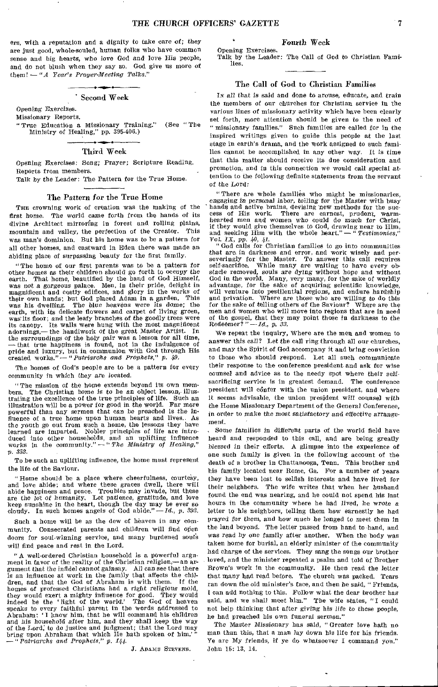ers, with a reputation and a dignity to take care *of;* they are just good, whole-souled, human folks who have common sense and big hearts, who love God and love His people, and do not blush when they say so. God give us more of them! — *"A Year's Prayer-Meeting Talks."* 

## Second Week

Opening Exercises.

Missionary Reports.

"True Education a Missionary Training." (See "The Ministry of Healing," pp. 395-406.)

#### Third Week

Opening Exercises: *Song;* Prayer; Scripture Reading. Reports from members.

Talk by the Leader: The Pattern for the True Home.

#### The Pattern for the True Home

THE crowning work of creation was the making of the first home. The world came forth from the hands of its divine Architect mirroring in forest and rolling plains, mountain and valley, the perfection of the Creator. This was man's dominion. But his home was to be a pattern for all other homes, and eastward in Eden there was made an abiding place of surpassing beauty for the first family.

"The home of our first parents was to be a pattern for other homes as their children should go forth to occupy the That home, beautified by the hand of God Himself, was not a gorgeous palace. Men, in their pride, delight in magnificent and costly edifices, and glory in the works of their own hands; but God placed Adam in a garden. This was his dwelling. The blue *heavens were* its dome; the was his dwelling. The blue heavens were its dome; the earth, with its delicate flowers and carpet of living green, was' its floor; and the leafy branches of the goodly trees were its canopy. Its walls were hung with the most magnificent<br>adornings,— the handiwork of the great Master Artist. In - the handiwork of the great Master Artist. the *surroundings* of the holy pair was a lesson for all time, that true happiness is found, not in the indulgence of pride and luxury, but in communion with God through His created *works."—"Patriarelts and Prophets," p. 19.* 

The homes of God's people are to be a pattern for every community in which they are located.

"The mission of the home extends beyond its own mem-<br>bers. The Christian home is to be an object lesson, illus-The Christian home is to be an object lesson, illustrating the excellence of the true principles of life. Such an illustration will be a power for good in the world. Far more illustration will be a power for good in the world. Far more powerful than any sermon that can be preached is the in*fluence* of a true home upon human hearts and lives.. As the youth go out from such a home, the lessons they have learned are imparted. Nobler principles of life are introduced into other households, and an uplifting influence works in the *community." —" The Ministry of Healing," p. 352.* 

To be such an uplifting influence, the home must represent the life of the Saviour.

" Home should be a place where cheerfulness, courtesy, mome should be a place where these graces dwell, there will<br>abide happiness and where these graces dwell, there will<br>abide happiness and peace. Troubles may invade, but these abide happiness and peace. Troubles may invade, but these are the lot *of humanity.* Let patience, gratitude, and love keep sunshine in the heart, though the day may be ever so cloudy. In such homes angels of God abide." $-Id$ ., p. 393.

Such a home will be as the dew of heaven in any community. Consecrated parents and children will find open doors for soul-winning service, and many burdened souls will find peace and rest in the Lord.

"A well-ordered Christian household is a powerful argument in favor of the reality of the Christian religion,—an argument that the infidel cannot gainsay. All can see that there is an influence at work in the family that affects the chil-<br>dren, and that the God of Abraham is with them. If the dren, and that the God of Abraham is with them. homes of professed Christians had a right religious mold, they would exert a mighty influence for good. They would indeed be the ' light of the world.' The God of heaven speaks to every faithful parent in the words addressed to Abraham: ' I know him, that he will command his children and his household after him, and they shall keep the way of the Lord; to do justice and judgment; that the Lord may bring upon Abraham that which He hath spoken of him.'" *—"Patriarchs and Prophets," p. 144.* 

J. ADAMS STEVENS.

## Fourth Week

Opening Exercises. Talk by the Leader: The Call of God to Christian Families.

## The Call of God to Christian Families

Ix all that is said and done to arouse, educate, and train the members of our churches for Christian service in the various lines of missionary activity which have been clearly set forth, more attention should be given to the need of " missionary families." Such families are called for in the inspired writings given to guide this people at the last stage in earth's drama, and the work assigned to such families cannot be accomplished in any other way. It is time that this matter should receive its due consideration and promotion, and in this connection we would call special attention to the following definite statements from the servant of the Lord:

"There are whole families who might be missionaries, engaging in personal labor, toiling for the Master with busy hands and active brains, devising new methods for the success of His work. There are earnest, prudent, warm-hearted men and women *who* could do much *for* Christ, if they would give themselves to God, drawing near to Him, and seeking Him with the whole heart" *—"Testimonies," Vol. IX, pp. 40, 41.* 

" God calls for Christian families to go into communities that are in darkness and error, and work wisely and perseveringly for the Master. To answer this call requires self-sacrifice. While many are waiting to have every obstacle removed, souls are *dying* without hope and without God in the world. Many, very many, for the sake of worldly advantage, for the sake of acquiring scientific knowledge, will venture into pestilential regions, and endure hardship and privation. Where are those who are willing to do this for the sake of telling others of the Saviour? Where are the men and women who will move into regions that are in need of the gospel, that they may point those in darkness to the Redeemer? *"—Id., p. 33.* 

We repeat the inquiry, Where are the men and women to answer this call? Let the call ring through all our churches, and may the Spirit of God accompany it and bring conviction to those who should respond. Let all such communicate their response to the conference president and ask for wise counsel and advice as to the needy spot where their selfsacrificing service is in greatest demand. The conference president will confer with the union president, and where it seems advisable, the union president will counsel with the Home Missionary Department of the General Conference, in order to make the most *satisfactory* and effective *arrangement.* 

Some *families* in different parts of the world field have heard and responded to this call, and are being greatly blessed in their efforts. A glimpse into the experience of one such family is given in the following account of the death of a brother in Chattanooga, Tenn. This brother and his family located near Rome, Ga. For a number of years they have been lost to selfish interests and have lived for their neighbors. The wife writes that when her husband found the end was nearing, and he could not spend his last hours in the community where he bad lived, he wrote a letter to his neighbors, telling them how earnestly he had prayed for them, and how much he longed to meet them in the land beyond. The letter passed from hand to hand, and *was* read by one family after another. When the body was taken home for burial, an elderly minister of the community had charge of the services. They sang the songs our brother loved, and the minister repeated a psalm and told of Brother Brown's work In the community. He then read the letter that many had read before. The church was packed. Tears ran down the old minister's face, and then he said, " Friends, I can add nothing to this. Follow what the dear brother has said, and we shall meet him." The wife states, "I could not help thinking that after giving his life to these people, he had preached his own funeral sermon."

The *Master Missionary* has said, "Greater love bath no man than this, that a man lay down his life for his friends. Ye are My friends, if ye do whatsoever I command you." John 16: 13, 14.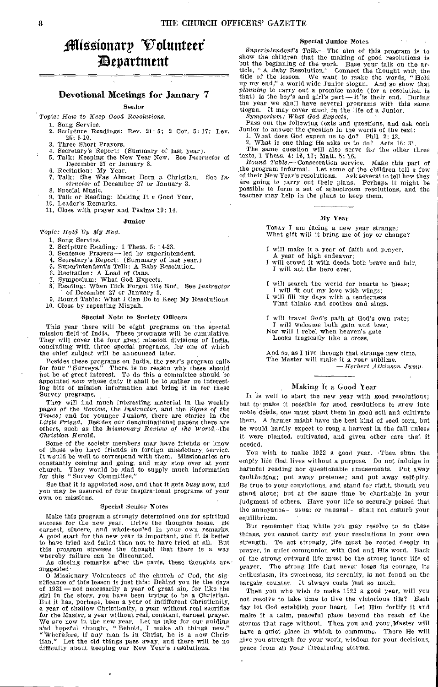# jilitsgonarp Volunteer department

## Devotional Meetings for January 7

#### Senior

Topic: How to *Keep Good Resolutions.* 

- 1. Song Service.
	- 2. Scripture Readings: Rev. 21: 5; 2 Cor. 5: 17; Lev. 25: 8-10.
	- 3. Three Short Prayers.
	- 4. Secretary's Report; (Summary of last year).
	- 5. Talk: Keeping the New Year New. See Instructor of December 27 or January 3.
	-
	- 6, Recitation: My Year. 7. Talk: She Was Almost Born a Christian. See *Instructor* of December 27 or January 3.
	- 8. Special Music. 9. Talk or Reading: Making It a Good Year.
- 10. Leader's Remarks.
- 11. Close with prayer and Psalms 19: 14.

#### Junior

*Topic: Hold Up My End.* 

- 1. Song Service.
- 2. Scripture Reading: 1 These. 5: 14-23.
- 3. Sentence Prayers—led by superintendent.
- 4. Secretary's Report: (Summary of last year.) 5. Superintendent's Talk: A Baby Resolution.
- 
- 6. Recitation: A Load of Cans.
- 7. Symposium: What God Expects.
- 8. Reading: When Dick Forgot His End. See *Instructor*
- of December 27 or January 3, 9. Round Table: What I Can Do to Keep My Resolutions. 10. Close by repeating Mizpah.

#### Special Note to Society Officers

This year there will be eight programs on the special mission field -of India. These programs will be cumulative. They will cover the four great mission divisions of India, concluding with three special programs, for one of which the chief subject will be announced later.

Besides these programs on India, the year's program calls for four "Surveys." There is no reason why these should not be of great interest. To do this a committee should be appointed now whose duty it shall be to gather up interesting bits of mission information and bring it in for these Survey programs.

They will find much interesting material in the weekly pages of the *Review,* the *Instructor,* and the *Signs of the Times;* and for younger Juniors, there are stories in the *Little Friend.* Besides our denominational papers there are others, such as the *Missionary Review of the World*, the *Christian* Herald.

Some of the society members may have friends or know of those who have friends in foreign missionary, service. It would be well to correspond with them. Missionaries are constantly coming and going, and may stop over at your church. They would be glad to supply much information for this "Survey Committee."

See that it is appointed now, and that it gets, *busy* now, and you may be assured of four inspirational programs of your own on missions.

#### Special Senior Notes

Make this program a strongly determined one for spiritual success for the new year. Drive the thoughts home. Be earnest, sincere, and whole-souled in your own remarks. A good start for the new year is important, and it is better to have tried and failed than not to have tried at all. But this program stresses the thought that there is a way whereby failure can be discounted.

As closing remarks after the parts, these thoughts are suggested'

0 Missionary Volunteers of the church of God, the significance of this lesson is just this: Behind you lie the days of 1921 — not necessarily a year of great sin, for like the girl in the story, you have been trying to be a Christian. But it has, perhaps, been a year of indifferent Christianity, a year of shallow Christianity, a year without real sacrifice for the Master, a year without real, constant, earnest prayer. We are now in the new year. Let us take for our guiding and hopeful thought, " Behold, I make all things new." "'Wherefore, if any man is in Christ, he is a new Christian." Let the old things pass away, and there will be no difficulty about keeping our New Year's resolutions.

#### Special Junior Notes

Superintendent's Talk.—The aim of this program is to show the children that the making of good resolutions is but the beginning of the work. Base your talk on the ar-ticle, " A Baby Resolution." Connect the thought with the title of the lesson. We want to make the words, "Hold up my end," a world-wide Junior slogan. And so show that *planning* to carry out a promise made (for a resolution is that) is the boy's and girl's part — it is their end. 'During the year we shall have several programs with this same slogan. It may cover much in the life of a Junior. *Symposium.' What God Expects.* 

Pass out the following texts and questions, and ask each Junior to answer the question in the words of the text: 1. What does God expect us to do? Phil. 2: 12.

2. What is one thing He asks us to  $d_0$ ? Acts 16: 31.

The same question will also serve for the other three texts, 1 These. 4: 16, 17; Matt. 5: 16.

*Round Table.—* Consecration service. Make this part of the program informal. Let some of the children tell a few of their New Year's resolutions. Ask several to tell how they are going to carry out their plans. Perhaps it might be possible to form a set of schoolroom resolutions, and the teacher may help in the plans to keep them,

#### My Year

TODAY I am facing a new year strange; What gift will it bring me of joy or change?

- I will make it a year of faith and prayer,
- A year of high endeavor;
- I will crowd it with deeds both brave and fair, I will act the hero ever.
- I will search the world for hearts to bless;
- I will fit out my love with wings;
- I will fill my days with a tenderness
- That thinks and soothes and sings.

I will travel God's path at God's own rate;

I will welcome both gain and loss;

Nor will I rebel when heaven's gate

Looks tragically like a cross.

And so, as I live through that strange new time, The Master will make it a year sublime.

*— Herbert Atkinson Jump.* 

#### Making It a Good Year

Jr is well to start the new year with good resolutions; but to' make it possible for good resolutions to grow into noble deeds, one must plant them in good soil and cultivate them. A farmer might have the best kind of seed corn, but he would hardly expect to reap, a harvest in the fall unless it were planted, cultivated, and given other care that it needed.

You wish to make 1922 a good year. Then shun the empty life that lives without a purpose. Do not indulge in harmful reading nor questionable amusements. Put away faultfinding; put away pretense; and put away self-pity. Be true to your convictions, and stand for right, though you stand alone; but at the same time be charitable in your judgment of others. Have your life so securely poised that the annoyance—usual or unusual—shall not disturb your equilibrium.

But remember that while you may resolve to do these things, you cannot carry out your resolutions in your own strength. To act strongly, life must be rooted deeply in prayer, in quiet communion with God and His word. Back of the strong outward life must be the strong inner life of prayer. The strong life that never loses its courage, its enthusiasm, its sweetness, its serenity, is not found on the bargain counter. It always costs just so much.

Then you who wish to make 1922 a good year, will you not resolve to take time to live the victorious life? Each day let God establish your heart. Let Him fortify it and make it a calm, peaceful place beyond the reach of the storms that rage without. Then you and your.Master will have a quiet place in which to commune. There He will give you strength for your work, wisdom for your decisions, peace from all your threatening storms.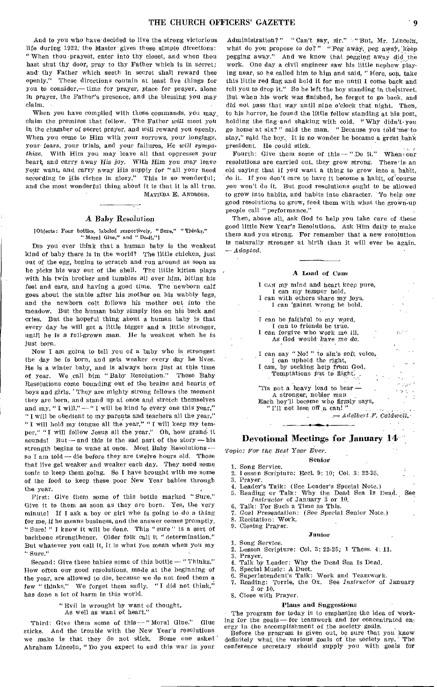And to you who- have- decided to live the strong victorious life during 1922; the Master' gives these simple directions: "When thou prayest, enter into thy closet, and when thou hast shut thy door, pray to thy Father which is in secret; and-thy Father which seeth in secret shall reward thee openly." These directions contain at least five things for You to consider,— time for prayer, place for prayer, alone in prayer, the Father's presence, and the blessing you may

claim.<br>When you have complied with these commands, you may claim the promises that follow. The Father wilt meet you in the chamber of secret prayer, and *will* reward you openly. When you come to Him with your sorrows, your longings, your- fears, your trials, and your failures, He *will sympathize.* With Him you may leave all that oppresses your heart, and carry away His joy. With Him you may leave your want, and carry away His supply for "all your need according to His riches in glory." This is so wonderful; and the most wonderful thing about it is that it is all true.

MATILDA E. ANDUOSS.

## A Baby Resolution

[Objects: Four bottles, labeled respectively, "Sure," "Thinks,"<br>
"Moral Glue," and "Do-it."]

Rio you ever think that a human baby is the weakest kind of baby there is in the world? The little chicken, just out of the egg, begins to scratch and run around as soon as he picks his way out of the shell. The little kitten plays with his twin brother and tumbles all *over* him, biting his feet and ears, and having a good time. The newborn calf goes about the stable after his mother on his wabbly legs, and the newborn colt follows his mother out into the meadow. But the human baby simply lies on his back and cries. But the hopeful thing about a human baby is that every day he will get a little bigger and a little stronger, until he *is* a *full-grown* man. He is weakest when he is just born.

Now I am going to tell you of a baby who is strongest the day he is born, and gets weaker every day he lives. lie is a winter baby, and is always born just at this time of year. We call him "Baby Resolution." These Baby Resolutions come bounding out of the brains and hearts of boys and girls. ' They are mighty strong fellows the moment they are born, and stand up at once and stretch themselves and say, "I will,"  $-$  "I will be kind to every one this year," " I will be obedient to my parents and teachers all the year," " I will hold my tongue all the year," " I will keep my temper," "I will follow Jesus all the year." Oh, how grand- it sounds! But — and this is the sad part of the story — his strength begins to wane at once. Most Baby Resolutions so I am told — die before they are twelve hours old. Those that live get weaker and weaker each day. They need some tonic to keep them going. So I have brought with me some of the food to keep these poor New Year babies through the year,

First: Give them some of this bottle marked " Sure." Give it to them as soon as they are born. Yes, the very minute! If I ask a boy or girl who is going to do a thing for me, if he means business, and the answer comes promptly, " Sure! " I know it will be done. This "sure" is a sort of backbone strengthener, Older folk call it " determination." But whatever you call it, it is what you mean when you say " Sure."

Second: Give these babies some of this bottle — " Thinks." How often our good resolutions, made at the beginning of the year, are allowed to die, because we do not feed them a few " thinks." We forget them sadly. " I did not think," has done a lot of harm in this world.

> " Evil is wrought by want of thought, As well as want of heart.

Third: Give them some of this - "Moral Glue." Glue sticks. And the trouble with the New Year's resolutions we make is that they do not stick. Some one asked' Abraham Lincoln, " Do you expect to end this war in your

Administration?" "Can't say, sir." "But, Mr. Lincoln, what do you propose to do?" "Peg away, peg away, keep pegging away." And we know that pegging away did the work. One day a civil engineer saw his little nephew playing near, so he called him to him and said, " Here, soh, take this little red flag and hold it for me until I come back and tell you to drop it." So he left the boy standing in the street. But when his work was finished, he forgot to go back, and did not pass that way until nine o'clock that night. Then, to his horror, he found the little fellow standing at his post, holding the flag and shaking with cold. "Why didn't you go home' at six?" said the man. " Because you told stay," said the boy.. It is no wonder he became a great bank president. He could stick.

Fourth: Give them some of this  $-$  "Do it." When our resolutions are carried out, they grow strong. There 'is an old saying that if you' want a thing to grew into a habit, 'do it. If you don't care to have it become a habit, of course you won't do it. But good resolutions ought to be allowed to grow into habits, and habits into character. To help our good resolutions to grow, feed them with what the grown-up people call "performance."

Then, above all, ask God to help you take care of these good little New Year's Resolutions. Ask Him daily to make them and you strong. For remember that a new resolution is naturally stronger at birth than it will ever be again. *— Adapted.* 

#### A Load of Cans

| I can my mind and heart keep pure,<br>I can my temper hold,<br>I can with others share my joys.<br>I can 'gainst wrong be bold,   |         |
|-----------------------------------------------------------------------------------------------------------------------------------|---------|
| I can be faithful to my word,<br>I can to friends be true.<br>I can forgive who work me ill.<br>As God would have me do.          | د او پو |
| I can say "No!" to sin's soft voice,<br>I can uphold the right.<br>I can, by seeking help from God,<br>Temptations put to flight. |         |
| 'Tis not a heavy load to bear —<br>A stronger, nobler man<br>Each boy'll become who firmly says,<br>"I'll not lose off a can!"    |         |
| $-A$ delbert F. Caldwell.                                                                                                         |         |

## Devotional Meetings for January 14

Senior

*Topic: For the Best Year Ever.* 

- 
- 1. Song Service.<br>2. Lesson Script 2. I esson Scripture: Ecel. 9: 10; Col. 3: 22-25,
- 3. Prayer.
- Leader's Talk: (See Leader's Special Note,)
- 5. Reading or Talk: Why the Dead Sea Is Dead. See *Instructor* of January 3 or 10.
- 6. Talk: For Such a Time as This.
- 7. Goal *Presentation:* (See Special Senior Note.)
- 8. Recitation: Work.<br>9. Closing Prayer.
	- Closing Prayer.

## Junior

- 1. Song Service.
- 2. Lesson Scripture: Col. 3: 22-25; 1 Thess. 4: 11.
- 3. Prayer.<br>4. Talk by 4. Talk by Leader: Why the Dead Sea Is Dead.
- 
- 5. Special Music: A Duet. 6. Superintendent's Talk: Work and Teamwork.
- 7. Reading: Torrie, the Ox. See *Instructor* of January 3 or 10.
- 8. Close with Prayer.

#### Plans and Suggestions

The program for today is to emphasize the idea of working for the goals—for teamwork and for concentrated en: ergy in the accomplishment of the society goals.

Before the program is given out, be sure that you know definitely what the various goals of the society are. The conference secretary should supply you with goals for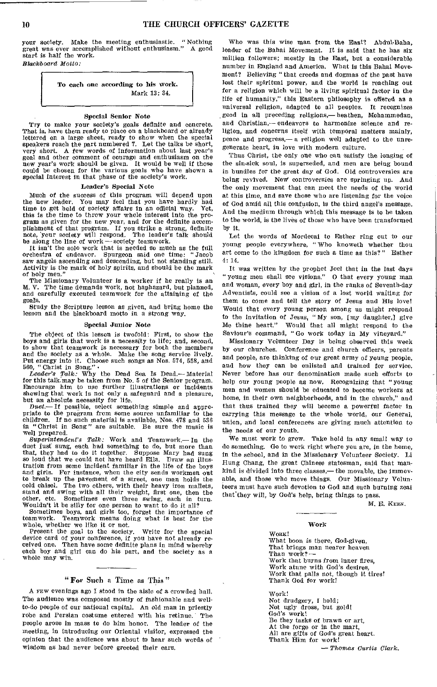your society. Make the meeting enthusiastic. "Nothing<br>great was ever accomplished without enthusiasm." A good great was ever accomplished without enthusiasm." start is half the work. *Blackboard Motto:* 

> To each one according to his work. Mark 13: 34.

#### Special Senior Note

Try to make your society's goals definite and concrete. That is, have them ready to place on a blackboard or already lettered on a large sheet, ready to show when the special speakers reach the part numbered 7. Let the talks be short, very short. A few words of information about last year's A few words of information about last year's goal and other comment of courage and enthusiasm on the new year's work should be given. It would be well if those could be chosen for the various goals who have shown a special interest in that phase of the society's work.

#### Leader's Special Note

Much of the success of this program will depend upon the new leader. You may feel that you have hardly had time to get hold of society affairs in an official way. Yet, this is the time to throw your whole interest into the program as given for the new year, and for the definite accom-plishment of that program. If you strike a strong, definite note, 'your society will respond. The leader's talk should be along the line of work—society teamwork.

It isn't the solo work that is needed so much as the full orchestra of endeavor. Spurgeon said one time: " Jacob saw angels ascending and descending, but not standing still. Activity is the mark of holy spirits, and should be the mark of holy men."

The Missionary Volunteer is a worker if he really is an M. V. The time demands work, not haphazard, but planned, and carefully executed teamwork for the attaining of the goals.

Study the Scripture lesson as given, and bring home the lesson and the blackboard motto in a strong way.

#### Special Junior Note

The object of this lesson is twofold: First, to show the boys and girls that work is a necessity to life; and, second, to show that teamwork is necessary for both the members and the society as a whole. Make the song service lively. Put energy into it. Choose such songs as Nos. 574, 558, and 560, Christ in Song." •

*Leader's Talk:* Why the Dead Sea Is Dead.—Material for this talk.may be taken from No. 5 of the Senior program. Encourage him to use further illustrations or incidents showing that work is not only a safeguard and a pleasure, but an absolute necessity for life.

*Duet.—* If possible, select something simple and appropriate to the program from some source unfamiliar to the children. If no such material is available, Nos. 478 and 536 in "Christ in Song" are suitable. Be sure the music is well prepared.

*Superintendent's Talk:* Work and Teamwork.— In the duet just sung, each had something to do, but more than that, they had to do it together. Suppose Mary had sung so loud that we could not have heard Ella. Draw an illustration from some incident familiar in the life of the boys and girls. For instance, when the city sends workmen out to break up the pavement of a street, one man holds the cold chisel. The two others, with their heavy iron mallets, stand and swing with all their weight, first one, then the other, etc. Sometimes even three swing each in turn other, etc. Sometimes even three swing, each in turn. Wouldn't it be silly for one person to want to do it all?

Sometimes boys, and girls too, forget the importance of teamwork. Teamwork means doing what is best for the whole, whether we like it or not.

Present the goal to the society. Write for the special device card of your conference, if you have not already received one. Then have some definite plans in mind whereby each boy and girl can do his part, and the society *as* a whole may win.

## " For Such a Time as This "

A FEW evenings ago I stood in the aisle of a crowded hall. The audience was composed mostly of fashionable and wellto-do people of our national capital. An old man in priestly robe and Persian costume entered with his retinue. The people arose in mass to do him honor. The leader of the meeting, in introducing our Oriental visitor, expressed the opinion that the audience was about to hear such words of wisdom as had never before greeted their ears.

Who was this wise man from the East? Abdul-Baba, leader of the Bohai Movement. It is said that he has six million followers; mostly in the East, but a considerable number in England and America. What is this Bahai Movement? Believing "that creeds and dogmas of the past have lost their spiritual power, and the world is reaching out for a religion which will be a living spiritual factor in the life of humanity," this Eastern philosophy is offered as a universal religion, adapted to all peoples. It recognizes good in all preceding religions,—heathen, Mohammedan, and Christian,— endeavors to harmonize science and religion, and concerns itself with temporal matters mainly, peace and progress,— a religion well adapted to the unregenerate heart, in love with modern culture.

Thus Christ, the only one who can satisfy the longing of the sin-sick soul, is superseded, and men are being bound in bundles for the great day of God. Old controversies are being revived. New controversies are springing up. And the only movement that can meet the needs of the world at this time, and save those who are listening for the voice of God amid all this confusion, is the third angel's message. And the medium through which this message is to be taken to the world, is the lives of those who have been transformed by it.

Let the words of Mordecai to Esther ring out to our young people everywhere, " Who knoweth whether thou art come to the kingdom for such a time as this?" Esther 4: 14.

It was written by the prophet Joel that in the last days young men shall see visions." O that every young man and woman, every boy and girl, in the ranks of Seventh-day Adventists, could see a vision of a lost world waiting for them to come and tell the story of Jesus and His love! Would that every young person among us might respond to the invitation of Jesus, "My son, [my daughter,] give Me thine heart." Would that all might respond to the Saviour's command, "Go work today in My vineyard."

Missionary Volunteer Day is being observed this week by our churches. Conference and church officers, parents and people, are thinking of our great army of young people, and how they can be enlisted and trained for service. Never before has our denomination made such efforts to help our young people as now. Recognizing that "young men and women should be educated to become workers at home, in their own neighborhoods, and in the church," and that thus trained they will become a powerful factor in carrying this message to the whole world, our General, union, and local conferences are giving much attention to the needs of our youth.

We must work to grow. Take hold in any small way to do something. Go to work right where you are, in the home, in the school, and in the Missionary Volunteer Society. Li Hung Chang, the great Chinese statesman, said that mankind is divided into three classes,— the movable, the immovable, and those who move things. Our Missionary Volunteers must have such devotion to God and such burning zeal that'they will, by God's help, bring things to pass.

M. E. KERN.

#### Work

WORK! What boon is there, God-given, That brings man nearer heaven Than work? — Work that burns from inner fires, Work atune with God's desires, Work that palls not, though it tires! Thank God for work!

Work! Not drudgery, I hold; Not ugly dross, but gold! God's work! Be they tasks of brawn or art, At the forge or in the mart, All are gifts of God's great heart. Thank Him for work! *— Thomas Curtis Clark.*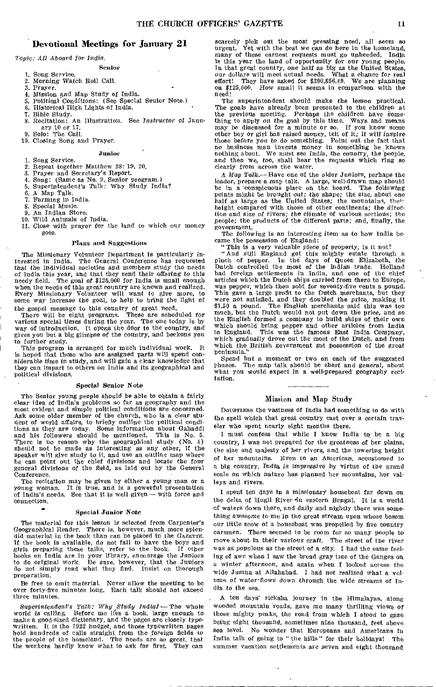## Devotional Meetings for January 21

*Topic: All Aboard for India.* 

- Senior
- 1. Song Service. 2. Morning Watch Roll Call.
- 3. Prayer.
- 
- 4. Mission and Map Study of India. 5. Political Conditions: (See Special Seuior Note.)<br>6. Historical High Lights of India.
- Historical High Lights of India.
- Bible Study.
- 8. Recitation: An Illustration. See *Instructor* of January 10 or 17. 9. Solo: The Call.
- 
- 10. Closing Song and Prayer.

#### Junior

- 1. Song Service.
- 2. Repeat together Matthew 28: 19, 20.
- 3. Prayer and Secretary's Report.
- 4. Song: (Same as No. 9, Senior program.) 5. Superintendent's Talk: Why Study India?
- 
- 6. A Map Talk.
- Farming in India.
- S. Special Music.
- 9. An Indian Store.
- 10. Wild Animals of India.
- 11. Close with prayer for the land to which our money goes.

#### Plans and Suggestions

The Missionary Volunteer Department, is particularly in-terested in India. The General Conference has requested that the individual societies and members study the needs of India this year, and that they send their offering to this needy field. The goal of \$125,000 for India is small enough when the needs of this great country are known and realized. Every Missionary Volunteer will want to give more, to some way increase the goal, to help to bring the light of the gospel message to this country of great need.

There will be eight programs. These are scheduled for various special times during the year. The one today is by way of introduction. It opens the door to the country, and gives you but a big glimpse of the country, and beckons you to further study.

This program is arranged for much individual work. is hoped that those who are assigned parts will spend considerable time in study, and will gain a clear knowledge that they can impart to others on India and its geographical and political divisions.

#### Special Senior Note

The Senior young people should be able to obtain a fairly clear idea of India's problems so far as geography and the most evident and simple political conditions are concerned. Ask some older member of the church, who is a clear student of world affairs, to briefly outline the political conditions as they are today. Some *information* about Gahaddi and his followers should be mentioned. This is No. 5. There is no reason why the geographical study (No. 4) should not be made as interesting as any other, if the speaker will give study to it, and use an outline map where he can point out the chief divisions and locate the four general divisions *of* the field, as laid out by the General Conference.

The recitation may be given by either a *young* man or a young *woman.* It is true, and is a powerful presentation of India's needs. See that it is well given—with force and connection,

#### Special Junior Note

The material for this lesson is selected from Carpenter's Geographical Reader. There is, however, much more splendid material in the book than can be placed in the GAZETTE. If the book is available, do not fail to have the boys and girls preparing these talks, refer to the book. If other books on India are in your library, encourage the *Juniors*  to do original work. Be sure, however, that the Juniors do not simply read what they find. Insist on thorough preparation.

Be free to omit *material.* Never allow the meeting to be over forty-five minutes long. Each talk should not exceed three minutes.

*Superintendent's Talk: Why Study India?* — The whole orld is calling. Before me lies a book, large enough to world is calling. Before me lies a book, large enough to make a good-sized dictionary, and the pages are closely typewritten. It is the 1922 budget, and those typewritten pages hold hundreds of calls straight from the foreign fields to the people of the homeland. The needs are so great, that the workers hardly know what to ask for first. They can

scarcely pick out the most pressing need, all seem so urgent. Yet with the best we can do here in the homeland. Yet with the best we can do here in the homeland, these earnest requests must go unheeded. India many of these earnest requests must go unheeded. is this year the land of opportunity for our young people. In that great country, one half as big as the United States, our dollars will meet actual needs. What a chance for real effort! They have asked for \$390,856.49. We are planning on \$125,000. How small it seems in comparison with the need!

The superintendent should make the lesson practical. The *goals* have already been presented to the children at the previous meeting. Perhaps the children have something to apply on the goal by this time. Ways and means may be discussed for a minute or so. If you know some may be discussed for a minute or so. If you know some other boy or girl has raised money, tell of it; it will inspire those before you to do something. Point out the fact that no business man invests money in something he knows nothing about. We must see India, the country, the people, and then we, too, shall hear the requests which ring so clearly from across the water.

A *Map Talk.—Have* one of the older *Juniors,* perhaps the leader, prepare a map talk. A large, well-drawn map should be in a 'conspicuous place on the board. The following points might be brought out: the shape; the size, about one half as large as the United States; the mountains, tbeiheight compared with those of other continents; the direction and size of *rivers;* the climate of various sections; the people; the products of the different parts; and, finally, the government.

The following is an interesting item as to how India became the possession of England:

This is a very valuable piece of property, is it not?

"And still England got this mighty estate through a nch of pepper. In the days of Queen Elizabeth, the pinch of pepper. In the days of Queen Elizabeth, the Dutch controlled the *most* of the Indian trade. Holland had foreign settlements in India, and one of the chief articles which the Dutch ships carried from there to Europe, was pepper, which then sold for seventy-five cents a pound. This gave a large profit to the Dutch merchants, but they were not satisfied, and they doubled the price, making it \$1.50 a pound. The English merchants said this was too much, but the Dutch would not put down the price, and so the English formed a company to build ships of their own which should bring pepper and other articles from India to England. This was the famous East India Company, which gradually drove out the most of the Dutch, and from which the British government got possession of the great peninsula."

Spend but a moment or two on each of the suggested phases. The map talk should be short and general, about what you would expect in a well-prepared geography recitation.

#### Mission and Map Study

Doubriuss the vastness of India had something to do with the spell which that great country cast over a certain traveler who spent nearly eight months there.

I must confess that while I knew India to be a big country, I was not prepared for the greatness of her plains, the size and majesty of her rivers, and the towering height of her mountains. Even to an American, accustomed to a big country, India is impressive by virtue of the grand scale *on* which nature has planned her mountains, her valleys and rivers.

I spent ten days in a missionary houseboat far down on the delta of Hugli River in eastern Bengal. It is a world of waters down there, and daily and nightly there was something awesome to me in the great stream upon whose bosom our little scow of a houseboat was propelled by five country oarsmen. There seemed to be room for so many people to move about in their various craft. The street of the river was as populous *as* the street of a city. I had the same feeling of awe when I saw the broad gray tide of the Ganges on a winter afternoon, and again when I looked across the wide Jumna at Aliahabad. I had not realized what a volume of water-flows down through the wide streams of India to the sea.

A ten days' ricksha journey in the Himalayas, along wooded mountain 'roads, gave me many thrilling views of those mighty peaks, the road from which I stood to gaze being eight thousand, sometimes nine thousand, feet above sea level. No wonder that Europeans and Americans in India talk of going to " the hills" for their holidays! The summer vacation settlements are seven and eight thousand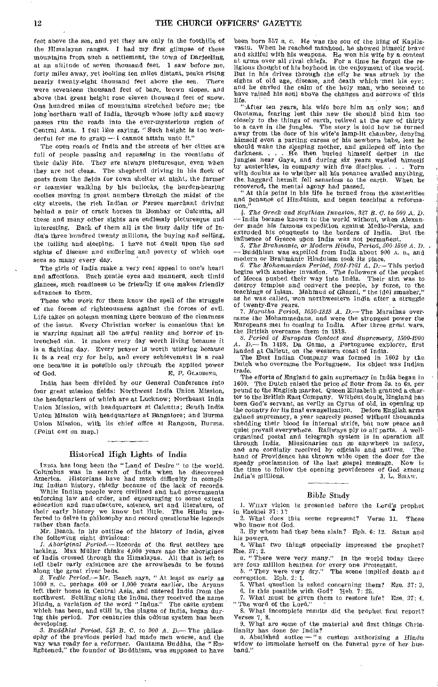feet above the sea, and yet they are only in the foothills of the Himalayan ranges. I had my first glimpse of these mountains from such a settlement, the town of Darjeeling, at an altitude of seven thousand feet. I saw before me, forty miles away, yet looking ten miles distant, peaks rising nearly twenty-eight thousand feet above the sea. There were seventeen thousand feet of bare, brown slopes, and above that great height rose eleven thousand feet of snow. One hundred miles of mountains stretched before me; the long'northern wall of India, through whose lofty and snowy passes run the roads into the ever-mysterious region of Central Asia. I felt like saying, "Such height is too wonderful for me to grasp — I cannot attain unto it."

The open roads of India and the streets of her cities are fuil of people passing and repassing in the vocations of their daily life. They are always picturesque, even when they are not clean. The shepherd driving in his flock of goats from the fields for town shelter at night, the farmer or teamster walking by his bullocks, the burden-bearing coolies moving in great numbers through the midst of the city streets, the rich Indian or Parsee merchant driving behind a pair of crack horses in Bombay or Calcutta, all these and many other sights are endlessly picturesque and interesting. Back of them all is the busy daily life of India's three hundred twenty millions, the buying and selling, the toiling and sleeping. I have not dwelt upon the sad sights of disease and suffering and poverty of which one sees so many every day.

The girls of India make a very real appeal to one's heart and affections. Such gentle eyes and manners, such timid glances, such readiness to be friendly if one makes friendly advances to them.

Those who work for them know the spell of the struggle of the forces of righteousness against the forces of evil. Life takes on solemn meaning there because of the clearness of the issue. Every Christian worker is conscious that he is warring against all the awful reality and horror of intrenched sin. It makes every day worth living because it is a fighting day. Every prayer is worth uttering because it is a real cry for help, and every achievement is a real one because it is possible only through the applied power of God. E. P. GLADDING.

India has been divided by our General Conference into four great mission fields: Northwest India Union Mission, the headquarters of which are at Lucknow; Northeast India Unipn Mission, with headquarters at Calcutta; South India Union Mission with headquarters at Bangalore; and Burma Union Mission, with its chief office at Rangoon, Burma. (Point out on map.)

## Historical High Lights of India

INDIA has long been the "Land of Desire" to the world. Columbus was in search of India when he discovered America. Historians have had much difficulty in compiling Indian history, chiefly because of the lack of records.

While Indian people were civilized and had governments enforcing law and order, and encouraging to some extent education and manufacture, science, art and literature, of their early history we know but little. The Hindu preferred to delve in philosophy and record questionable legends rather than facts.

Mr. Beach, in his outline of the history of India, gives the following eight divisions:

*I. Aboriginal Period.—* Records of the first settlers are lacking. Max Müller thinks 4,000 years ago the aborigines of India crossed through the Himalayas. All that is left to tell their early existence are the arrowheads to be found along the great river beds.

*2. Vedic Period,—* Mr. Beach says, " At least as early as 1000  $\mu$ . c., perhaps 400 or 1,000 years earlier, the Aryans left their home in Central Asia, and entered India from the northwest. Settling along the Indus, they received the name Hindu, a variation of the word "Indus." The caste system which has been, and still is, the plague of India, began during this period. For centuries this odious system has been developing.

*3. Buddhist Period, 543 B. C. to 900 A. D.*— The philosophy of the previous period had made men worse, and the way was ready for a reformer. Gautama Buddha, the "Enlightened," the founder of Buddhism, was supposed to have been born 557 B. C. He was the son of the king of Kapila-<br>vastu. When he reached manhood, he showed himself brave When he reached manhood, he showed himself brave and skilful with his weapons. He won his wife by a contest at arms over all rival chiefs. For a time he forgot the religious thought of his boyhood in the enjoyment of the world. But in his drives through the city he was struck by the sights of old age, disease, and death which met his eye; and he envied the calm of the holy man, who seemed to have raised his soul above the changes and sorrows of this life.<br>"After ten years, his wife bore him an only son; and

Gautama, fearing lest this new tie should bind him too closely to the things of earth, retired at the age of thirty to a cave in the jungles. The story is told how he turned away from the door of his wife's lamp-lit chamber, denying himself even a parting caress of his newborn babe, lest he should wake the sleeping mother, and galloped off into the darkness. . . . He then buried himself deeper in the jungles near Gaya, and during six years wasted himself by austerities, in company with five disciples. . . Torn with doubts as to whether all his penance availed anything, the. haggard hermit fell senseless to the earth. When he

recovered, the mental agony had passed, "At this point in his life he turned from the austerities and penance of Hinduism, and began teaching a reformation."

*4. The Greek and Scythian Invasion,* 327 *B. C. to 500 A.* D. —India became known to the world without, when Alexander made his famous expedition against Medio-Persia, and extended his conquests to the borders of India. But the influence of Greece upon India was not permanent. *5. The Brahmanic, or Modern Hindu,* Period, *500-1500 A. D.* 

—Buddhism was expelled from India about 900 A. n., and modern or Brahmanic Hinduism took its place.

*6. The Mohammedan Period, 1001-1761 A. D.—This* period begins with another invasion. The followers of the prophet of Mecca pushed their way into India. Their aim was to destroy temples and convert the people, by force, to the teachings of Islam. Mahmud of Ghazni, "the idol smasher," as he was called, won northwestern India after a struggle of twenty-five years.

7. Maratha Period, *1650-1818 A. D.—The* Marathas overcame the Mohammedans, and were the strongest power the Europeans met in coming to India, After three great wars, the British overcame them in 1818.

*8. Period of European Contact and Supremacy, 1500-1000 A.* D.— In 1498, Da Gama, a Portuguese explorer, first landed at Calicut, on the western coast of India.

The East Indian Company was formed in 1602 by the Dutch who overcame the Portuguese. Its object was Indian trade.

The efforts of England to gain supremacy in India began in 1600. The Dutch raised the price of flour from 3s, to 6s, per The Dutch raised the price of flour from 3s. to 6s. per pound to the English market. Queen Elizabeth granted a charter to the British East Company. Without doubt, England has been God's servant, as verily as Cyrus of old, in opening up the country for its final evangelization. Before English arms gained supremacy, a year scarcely passed without thousands shedding their blood in internal strife, but now peace and quiet prevail everywhere. Railways ply to alr parts. A wellorganized postal and telegraph system is in operation all through India. Missionaries can go anywhere in safety, and are cordially received by officials and natives. The, hand of Providence has thrown wide open the door for the speedy proclamation of the last gospel message. Now is the time to follow the opening providenees of God among India's millions. J. L. SHAW.

#### Bible Study

1. WHAT vision is presented before the Lord's prophet in Ezekiel 37:1?

2. What does this scene represent? Verse 11. Those who know not God.

3. By whom had they been slain? Eph, 6: 12. Satan and his powers.

4. What two things especially impressed the prophet?

Eze. 37; 2.<br>
a. "There were very many." In the world today there

are four million heathen for every one Protestant.<br> *b.* "They were very dry." The scene implied death and<br>
corruption. Eph. 2: 1.

5. What question is asked concerning them? Eze. 37: 3.

6. Is this possible with God? Heb. 7: 25. 7. What must be given them to restore life? Eze, 37; 4. "The word of the Lord."

8. What incomplete results did the prophet first report?

Verses 7, 8. 9. What are some of the material and first things Christianity has done for India?

 $a.$  Abolished suttee — " a custom authorizing a Hindu widow to immolate herself on the funeral pyre of her husband."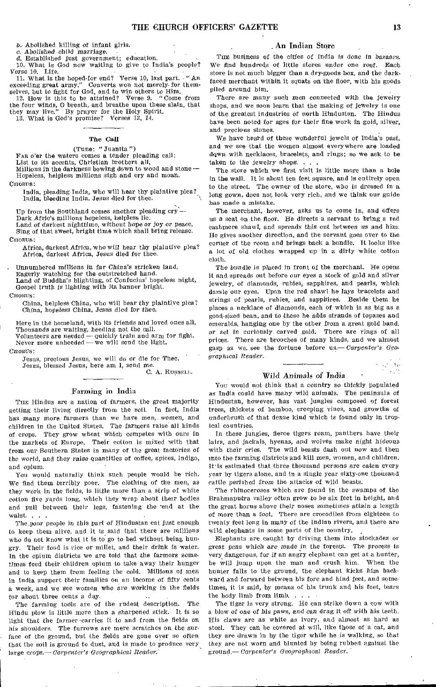*h.* Abolished killing of infant girls, *c.* Abolished child marriage.

*c. Abolished* child *marriage,* 

d. Established just government; education. 10. What is God now waiting to give to India's people? Verse 10. Life.

11. What is the hoped-for end? Verse 10, last part,  $\cdot$  " An exceeding great army." Converts won not merely for them-Converts won not merely- for them-

selves, but to fight for God, and to win others to Him. 12, How is this to be attained? Verse 9. "Come from the four winds, 0 breath, and breathe upon these slain, that they may live." By prayer for the Holy Spirit.

13. What is God's promise? Verses 13, 14.

#### The Call

(Tune: " Juanita ")

Fan o'er the waters comes a tender pleading call;

List to its accents, Christian brothers all,

Millions in the darkness bowing down to wood and stone — Hopeless, helpless millions sigh and cry and moan, CHORUS:

India, pleading India, who will hear thy plaintive plea? India, bleeding India, Jesus died for thee.

Up from the Southland comes another pleading cry-Dark Afric's millions hopeless, helpless lie.

Land of darkest nighttime, without hope or joy or peace, Sing of that sweet, bright time which shall bring release. CHORUS:

Africa, darkest Africa, who will hear thy plaintive plea? Africa, darkest Africa, Jesus died for thee.

Unnumbered millions in far China's stricken land,

Eagerly watching for the outstretched hand.

Land of Buddha's blighting, of Confucius' hopeless night, Gospel truth is lighting with its banner bright. CHORUS:

China, helpless China, who will hear thy plaintive plea? China, hopeless China, Jesus died *for* thee.

Here in the homeland, with its friends and loved ones all, Thousands are waiting, heeding not the call. Volunteers are needed—quickly train and arm for fight. Never more unheeded — we will send the light.

*CHORUS:* 

Jesus, precious Jesus, we will do or die for Thee. Jesus, blessed Jesus, here am I, send me.

C. A. RUSSELL.

#### Farming in India

Tun Hindus are a nation of farmers, the great majority getting their living directly from the soil. In fact, India has many more farmers than we have men, women, and children in the United States. The farmers raise all kinds of crops. They grow wheat which competes with ours in the markets of Europe. Their cotton is mixed with that from our Southern States in many of the great factories of the world, and they raise quantities of coffee, spices, indigo, and opium.

You would naturally think such people would be rich. We find them terribly poor. The clothing of the men, as they work in the fields, is little more than a strip of white cotton five yards long, which they wrap about their bodies and pull between their legs, fastening the 'end at the waist. . .

The \poor people in this part *of* Hindustan eat just enough to keep them alive, and it is said that there are millions who do not know what it is to go to bed without being hungry. Their food is rice or millet, and their drink is water. In the opium districts we are told that the farmers sometimes feed their children opium to take away their hunger and to keep them from feeling the cold. Millions of men in India support their families on an income of fifty cents a week, and we see women who are *working in* the fields for about three cents a day.

The farming tools are of the rudest description. The Hindu plow is little more than a sharpened stick. ft is so light that the farmer 'carries it to and from the fields on *his* shoulders. The furrows are mere scratches on the surface of the ground, but the fields are gone over so often that the soil is ground to dust, and is made to produce very large crops.— *Carpenter's Geographical Reader*.

#### . An Indian Store

THE business of the cities of India is done in bazaars. We find hundreds of little stores under one roof. Each store is not much bigger than a dry-goods box, and the darkfaced merchant within it squats on the floor, with his goods piled around him.

There are *many* such men connected with the jewelry shops, and we soon learn that the making of jewelry is one of the greatest industries of north Hindustan. The Hindus have been noted for ages for their fine work in gold, silver, and precious stones.

We have heard of these wonderful jewels of India's past, and we-see that the women almost everywhere are loaded down with necklaces, bracelets, and rings; so we ask to be taken to the jewelry shops. . .

The store which we first visit is little more than a hole in the wall. It is about ten feet square, and is entirely open to the street. The owner of the store, who is dressed in a long gown, does not look very rich, and we think our guide has made a mistake.

The merchant, however, asks us to come in, and offers us a seat on the floor. He directs a servant to bring a red cashmere shawl, and spreads this *out* between *us* and him. He gives another direction, and the servant goes over to the corner of the room and brings back a bundle. It looks like a lot of old clothes wrapped up in a dirty white cotton cloth.

The bundle is placed in front of the merchant. He opens it and spreads out before our eyes a stock of gold and silver jewelry, of diamonds, rubies, sapphires, and pearls, which dazzle our eyes. Upon the red shawl he lays bracelets and strings of pearls, rubies, and sapphires. Beside them he places a necklace of diamonds, each of which is as big as a good-sized bean, and to these he adds strands of topazes and emeralds, hanging one by the other from a great gold band, or set in curiously carved gold. There are rings of all prices. There are brooches of many kinds, and we almost gasp as we. see the fortune before us.— *Carpenter's Geographical Reader.* 

# Wild Animals of India  $\qquad \qquad$

You would not think that a country so thickly populated as India could have many wild animals. The peninsula of Hindustan, however, has vast jungles composed of forest trees, thickets of bamboo, creeping vines, and growths of underbrush of that dense kind which is found only in tropical countries.

In these jungles, fierce tigers roam, panthers have their lairs, and jackals, hyenas, and wolves make *night* hideous with their cries. The wild beasts dash out now and then into the farming districts and kill men, women, and children, Itis estimated that three thousand persons are eaten every year by tigers alone, and in a single year sixty-one thousand cattle perished *from* the attacks of wild beasts.

The rhinoceroses which are found in the swamps of the Brahmaputra valley often grow to be six feet in height, and the great horns above their noses sometimes attain a length of more than a foot. There are crocodiles from eighteen to twenty feet long in many of the Indian rivers, and there are wild elephants in some parts of the country.

Elephants are caught by driving them into stockades or great pens *which* are made in the forests. The process is very dangerous, for if an angry elephant can get at a hunter, he will jump upon the man and crush him. When the hunter falls to the ground, the elephant kicks him backward and forward between his fore and hind feet, and sometimes, it is said, by means of his trunk and his feet, tears the body limb from limb. .

The tiger is very strong. He can strike down a cow with a blow of one *of* his paws, and can drag it off with his teeth. His claws are as white as ivory, and almost as hard as steel. They can be covered at will, like those of a cat, and they are drawn in by the tiger while he is walking, so that they are not worn and blunted by being rubbed against the ground.— *Carpenter's Geographical Reader.* 

 $\langle \hat{\tau}_{\rm eff} \rangle$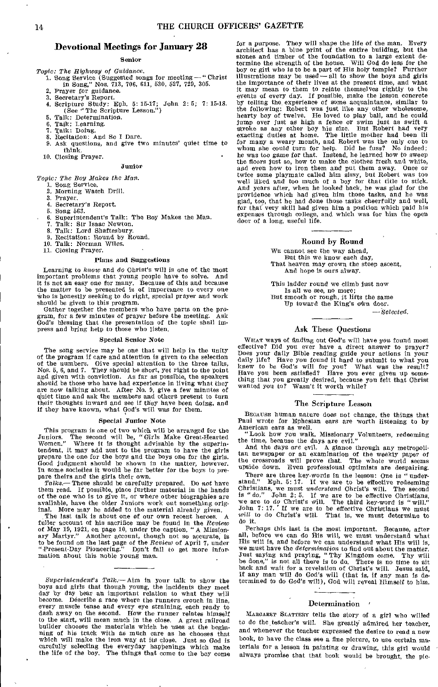## Devotional Meetings for January 28

#### Senior

- *Topic: The Highway of Guidance.*  1. Song Service (Suggested songs for meeting —" Christ
	- in Song," Nos. 713, 706, 611, 530, 527, 729, 305. 2. Prayer for guidance.
	-
	- 3. Secretary's Report. 4. Scripture Study: Eph. 5: 15-17; John 2: 5; 7: 15-18. (See " The Scripture Lesson.")
	- 5. Talk: Determination.
	- 6. Talk: Learning.
	- 7. Talk: Doing.
	- 8. Recitation: And So I Dare.
	- 9. Ask questions, and give two minutes' quiet time to think.
	- 10. Closing Prayer.

#### Junior

*Topic: The Boy Makes the Man.* 

- 1. Song Service. 2. Morning Watch Drill.
- 
- 3. Prayer.
- 4. Secretary's Report.<br>5. Song 563.
- 5. Song 563.
- Superintendent's Talk: The Boy Makes the Man. Talk: Sir Isaac Newton.
- 8. Talk: Lord Shaftesbury.
- 9. Recitation: Round by Round.
- 10. Talk: Norman Wiles.
- 11. Closing Prayer.

#### Plans and Suggestions

Learning to *know* and *do* Christ's will is one of the most important problems that young people have to solve. And it is not an easy one for many. Because of this and because the matter to be presented is of importance to every one Who is honestly seeking to do right, special prayer and work should be given to this program.

Gather together the members who have parts on the program, for a few minutes of prayer before the meeting. God's blessing that the presentation of the topic shall impress and bring help to those who listen.

#### Special Senior Note

The song service may be one that will help in the unity of the program if care and attention is given to the selection of the numbers. Give special attention to the three talks, Nos. 5, 6, and 7. They should be short, yet right to the point and given with conviction. As far as possible, the speakers should be those who have had experience in living what they are now talking about. After No. 9, give a few minutes of quiet time and ask the members and others present to turn their thoughts inward and see if they have been doing, and if they have known, what God's will was for them.

#### Special Junior Note

This program is one of two which will be arranged for the Juniors. The second will be, "Girls Make Great-Hearted Women." Where it is thought advisable by the superintendent, it may add zest to the program to have the girls prepare the one for the boys and the boys one for the girls. Good judgment should be shown in the matter, however. In some societies it would be far better for the boys to prepare theirs and the girls their own.

*Talks.—* These should be carefully prepared, Do not have them read. If possible, place further material in the hands of the one who is to give it, or where other biographies are available, have the older Juniors work out something original. More may be added to the material already given.

The last talk is about one of our own recent heroes. A fuller account of his sacrifice may be found in the *Review*  of May 19, 1921, on page 10, under the caption, "A Mission-ary Martyr." Another account, though not so accurate, is to be found on the last page of the *Review* of April 7, under "Present-Day Pioneering." Don't fail to get more infor-<br>mation about this noble young man.

*Superintendent's Talk.—Aim* in your talk to show the boys and girls that though young, the incidents they meet day by day bear an important relation to what they will become. Describe a race where the runners crouch in line, every muscle tense and every eye straining, each ready to dash away on the second. How the runner relates himself to the start, will mean much in the close. A great railroad builder chooses the materials which he uses at the beginning of his track with as much care as he chooses that which will make the iron way at its close. Just so God is carefully selecting the everyday happenings which make the life of the boy. The things that come to the boy come

for a purpose. They will shape the life of the man. Every architect has a blue print of the entire building, but the stones and timber of the foundation to a large extent determine the strength of the house. Will God do less for the boy or girl who is to be a part of His holy temple? Further illustrations may be used—all to show the boys and girls the importance of their lives at the present time, and what it may mean to them to relate themselves rightly to the events of every day. If possible, make the lesson concrete by telling the experience of some acquaintance, similar to the following: Robert was just like any other wholesome, hearty boy of twelve. He loved to play ball, and he could jump over just as high a fence or swim just as swift a stroke as any other boy his size. But Robert had very exacting duties at home. The little mother had been ill exacting duties at home. The little mother had been ill for many a weary month, and Robert was the only one to whom she could turn for help. Did he fuss? No indeed; he was too game for that. Instead, he learned how to sweep the floors just so, how to make the clothes fresh and white, and even how to iron them and put them away. Once or twice some playmate called him sissy, but Robert was too well liked and too much of a boy for that title to stick. And years after, when he looked back, he was glad for the providence which had given him those tasks, and he was glad, too, that he had done those tasks cheerfully and well, for that very skill had given him a position which paid his expenses through college, and which was for him the open door of a long, useful life.

## Round by Round

Wu cannot see the way ahead, But this we know each day, That heaven may crown the steep ascent. And hope is ours alway.

This ladder round we climb just now Is all we see, no more; But smooth or rough, it lifts the same Up toward the King's own door.

*— Selected.* 

#### Ask These Questions

WHAT ways of finding out God's will have *you* found most effective? Did you ever have a direct answer to prayer? Does your daily Bible reading guide your actions in your daily life? Have you found it hard to submit to what you knew to be God's will for you? What was the result? Have you been satisfied? Have you ever given up something that you greatly desired, because you felt that Christ wanted you to? Wasn't it worth while?

#### The Scripture Lesson

BECAUSE human nature does not change, the things that Paul wrote for Ephesian ears are worth listening to by American ears as well.

"Look how you walk, Missionary Volunteers, redeeming the time, because the days are evil."

And the days are evil. A glance through any metropolitan newspaper or an examination of the weekly paper of the crossroads will prove that. The whole world seems upside down. Even professional optimists are despairing.

There are three key-words in the lessou: One is "understand." Eph. 5:17. If we are to be effective redeeming Christians, we must *understand* Christ's Will. The second is " do," John 2: 5. If we are to be effective Christians, we are to *do* Christ's will. The third key-word is "will." John 7: 17. If we are to be effective Christians we must *will* to do Christ's will. That is, we must determine to do it.

Perhaps this last is the most important. Because, after all, before we can do His will, we must understand what His will is, and before we can understand what His will is, we must have the *determination* to find out about the matter. Just saying and praying, "Thy Kingdom come. Thy will be done," is not all there is to do. There is no time to sit back and wait for a revelation of Christ's will. Jesus said, If any man will do God's will (that is, if any man is determined to do God's will), God will reveal Himself to him.

#### Determination

MARGARET SLATTERY tells the story of a girl who willed to do the, teacher's will. She greatly admired her teacher, and whenever the teacher expressed the desire to read a new book, to have the class see a fine picture, to use certain materials for a lesson in painting or drawing, this girl would always promise that that book would be brought, the pie-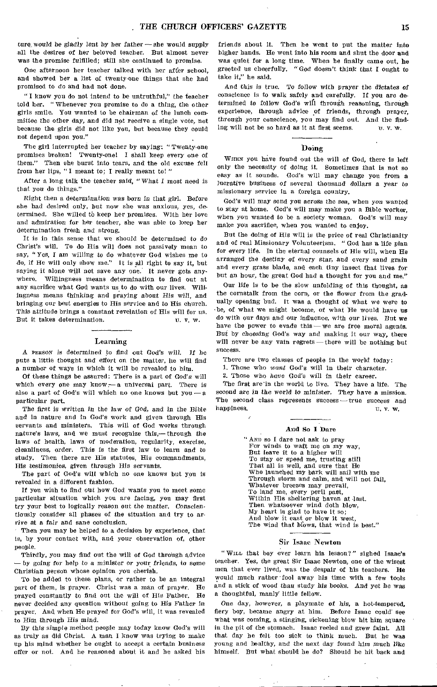ture, would be gladly lent by her father  $-$ she would supply all the desires of her beloved teacher. But almost never was the promise fulfilled; still she continued to promise.

One afternoon her teacher talked with her after school, and showed her a list of twenty-one things that she had promised to do and had not done.

" I know you do not intend to be untruthful," the teacher told her. " Whenever you promise to do a thing, the other girls smile. You wanted to be chairman of the lunch committee the other day, and did not receive a single vote, not because the girls did not like you, but because they could not depend upon you."

The girl interrupted her teacher by saying: " Twenty-one promises broken! Twenty-one! I shall keep every one of them." Then she burst into tears, and the old excuse fell from her lips, " I meant to; I really meant to! "

After a long talk the teacher said, " What *I* most need is that you do things."

Right then a determination was born in that *girl.* Before she had desired only, but now she was anxious, yes, determined. She willed to keep her promises. With her love and admiration for her teacher, she was able to keep her determination fresh and strong.

It is in this sense that we should be determined to do Christ's will. To do His will does not passively mean to say, "Yes, I am willing to do whatever God wishes me to do, if He will only show me." It is all right to say it, but saying it alone will not save any one. It never gets anywhere. Willingness means determination to find out at any sacrifice what God wants us to do with our lives. Willingness means thinking and praying about *His* will, and bringing our best energies to His service and to His church. This attitude brings a constant revelation of His will for us. But it takes determination. U. V. W.

#### Learning

A PERSON is determined to find *out* God's will. If he puts a little thought and effort on the matter, he will find a number of ways in which it will be revealed to him.

Of these things be assured: There is a part of God's will which every one may know  $-a$  universal part. There is also a part of God's will which no one knows but you — a particular part.

The first is *written* in the law of God, and In the Bible and in nature and in God's work and given through His servants and ministers. This will of God works through nature's laws, and we must recognize this,— through the laws of health, laws of moderation, regularity, exercise, cleanliness, order. This is the first law to learn and to study. Then there are His statutes, His commandments, His testimonies, given through His servants.

The part of God's will which no one knows but you is revealed in a different fashion.

If you wish to find out how God wants you to meet some particular situation which you are facing, you may first try your best to logically reason out the matter. *Conscientiously* consider all phases of the situation and try to arrive at a fair and sane conclusion.

Then you may be helped to a decision by experience, that is, by your contact with, and your observation of, other people.

Thirdly, you may find out the will of God through advice — by going for help to a minister or your friends, to some Christian person whose opinion you cherish.

To be added to these plans, or rather to be an integral part of them, is prayer. Christ was a man of prayer. He prayed constantly to find out the will of His Father. He never decided any question without going to His Father in prayer. And when He prayed for God's will, it was revealed to Him through His mind.

By this simple method people may today know God's will as truly as did Christ. A man I know was trying to make up his mind whether he ought to accept a certain business offer or not. And he reasoned about it and he asked his

friends about it. Then he went to put the matter into higher hands. He went into his room and shut the door and was quiet for a long time. When he finally came out, he greeted us cheerfully. "God doesn't think that I ought to take it," he said.

And this is true. To follow with prayer the dictates of conscience is to walk safely and carefully. If you are determined to follow God's will through reasoning, through experience, through advice of friends, through prayer, through your conscience, you may find out. And the finding will not be so hard as it at first seems. u. v. w.

#### Doing

WHEN you have found out the will of God, there is left only the necessity of doing it. Sometimes that is not so easy as it sounds. God's will may change you from a lucrative business of several thousand dollars a year to missionary service in a foreign country.

God's will may send *you* across the *sea,* when you wanted to stay at home. God's will may make you a Bible worker, when you wanted to be a society woman. God's will may make you sacrifice, when you wanted to enjoy.

But the doing of His will is the price of real Christianity and of real Missionary Volunteerism. " God has a life plan for every life. In the eternal counsels of His will, when He arranged the destiny *of every star, and* every sand *grain*  and every grass blade, and each tiny insect that lives for but an hour, the great God had a thought for you and me."

Our life is to be the slow unfolding of this thought, as the cornstalk from the corn, or the flower from the gradually opening bud. It was a thought of what we were to -be, of what we might become, of what He would have us do with our days and our influence, with our lives. But we have the power to evade this—we are free moral agents. But by choosing God's way and making it our way, there will never be any vain regrets — there will be nothing but success.

There are two classes of people in the world today:

1. Those who *want* God's will in their character.

2. Those who *have* God's will in their career.

The first are'in the world to live. They have a life. The second are *in* the world to minister. They have a mission. The second class represents success—true success and happiness. **U. V. W.** 

#### And So I Dare

" AND so I dare not ask to pray For winds to waft me on my way, But leave it to a higher will To stay or speed me, trusting still That all is well, and sure that He Who launched my bark will sail with me Through storm and calm, and will not fail, Whatever breezes may prevail, To land me, every peril past, Within His sheltering haven at last. Then whatsoever wind doth blow, My heart is glad to have it so; And blow it east or blow it west, The wind that blows, that wind is best."

#### Sir Isaac Newton

"WILE that boy ever learn his lesson?" sighed Isaac's teacher. Yes, the great Sir Isaac Newton, one of the wisest men that ever lived, was the despair of his teachers. He would much rather fool away his time with a few tools and a stick of wood than study his books. And yet he was a thoughtful, manly little fellow.

One day, however, a playmate of his, a hot-tempered, fiery boy, became angry at him. Before Isaac could see what was coming, a stinging, sickening blow hit him square in the pit of the stomach. Isaac reeled and grew faint. All that day he felt too sick to think much. But he was young and healthy, and the next day found him much like himself. But what should he do? Should he hit back and